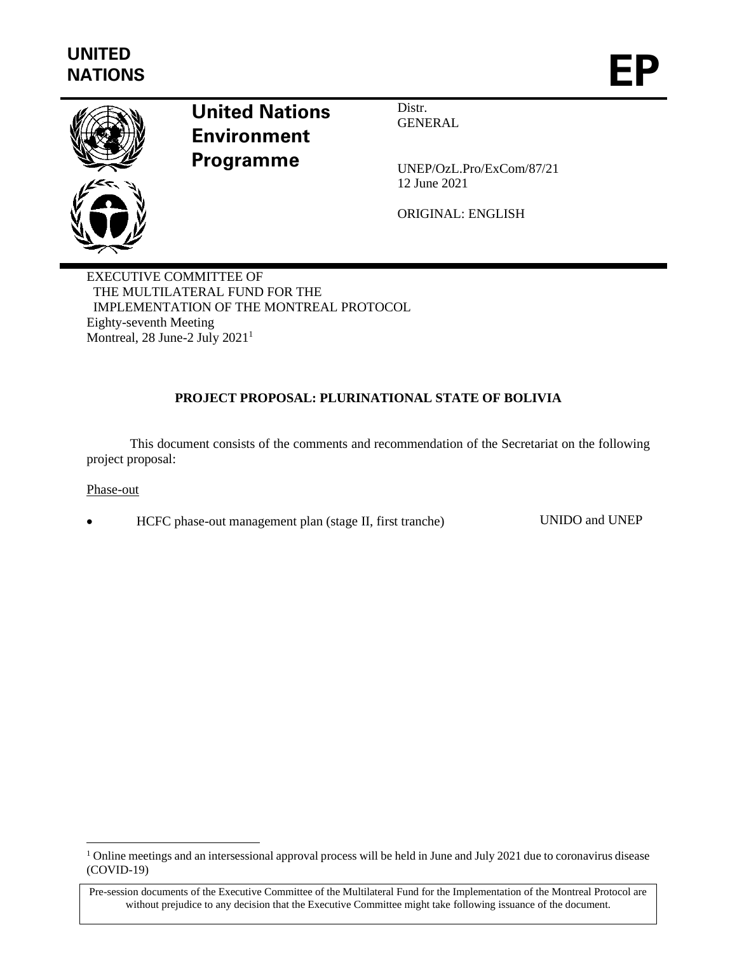

# **United Nations Environment Programme**

Distr. GENERAL

UNEP/OzL.Pro/ExCom/87/21 12 June 2021

ORIGINAL: ENGLISH

EXECUTIVE COMMITTEE OF THE MULTILATERAL FUND FOR THE IMPLEMENTATION OF THE MONTREAL PROTOCOL Eighty-seventh Meeting Montreal, 28 June-2 July  $2021<sup>1</sup>$ 

# **PROJECT PROPOSAL: PLURINATIONAL STATE OF BOLIVIA**

This document consists of the comments and recommendation of the Secretariat on the following project proposal:

Phase-out

• HCFC phase-out management plan (stage II, first tranche) UNIDO and UNEP

<sup>&</sup>lt;sup>1</sup> Online meetings and an intersessional approval process will be held in June and July 2021 due to coronavirus disease (COVID-19)

Pre-session documents of the Executive Committee of the Multilateral Fund for the Implementation of the Montreal Protocol are without prejudice to any decision that the Executive Committee might take following issuance of the document.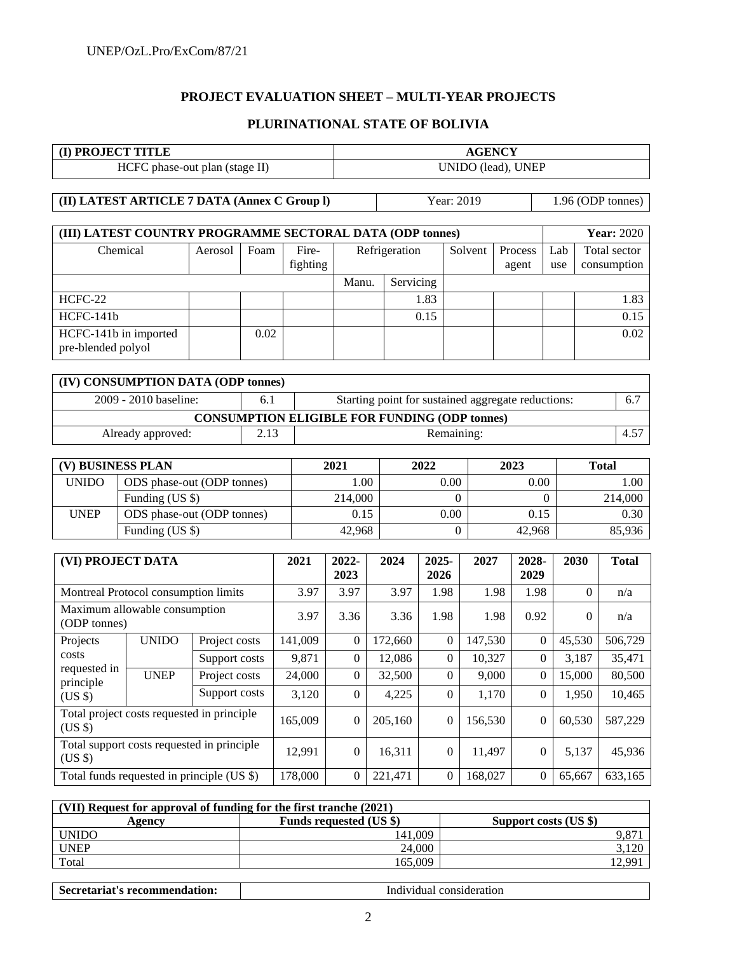# **PROJECT EVALUATION SHEET – MULTI-YEAR PROJECTS**

#### **PLURINATIONAL STATE OF BOLIVIA**

| <b>(I) PROJECT TITLE</b>       | <b>AGENCY</b>      |
|--------------------------------|--------------------|
| HCFC phase-out plan (stage II) | UNIDO (lead), UNEP |

**(II) LATEST ARTICLE 7 DATA (Annex C Group l)** Year: 2019 1.96 (ODP tonnes)

| (III) LATEST COUNTRY PROGRAMME SECTORAL DATA (ODP tonnes) |         |      |                   |               |           |         |                  |            | <b>Year: 2020</b>           |
|-----------------------------------------------------------|---------|------|-------------------|---------------|-----------|---------|------------------|------------|-----------------------------|
| Chemical                                                  | Aerosol | Foam | Fire-<br>fighting | Refrigeration |           | Solvent | Process<br>agent | Lab<br>use | Total sector<br>consumption |
|                                                           |         |      |                   | Manu.         | Servicing |         |                  |            |                             |
| HCFC-22                                                   |         |      |                   |               | 1.83      |         |                  |            | 1.83                        |
| $HCFC-141b$                                               |         |      |                   |               | 0.15      |         |                  |            | 0.15                        |
| HCFC-141b in imported<br>pre-blended polyol               |         | 0.02 |                   |               |           |         |                  |            | 0.02                        |

| (IV) CONSUMPTION DATA (ODP tonnes)                   |      |                                                    |               |  |  |  |  |
|------------------------------------------------------|------|----------------------------------------------------|---------------|--|--|--|--|
| 2009 - 2010 baseline:                                | 6.1  | Starting point for sustained aggregate reductions: | 6.7           |  |  |  |  |
| <b>CONSUMPTION ELIGIBLE FOR FUNDING (ODP tonnes)</b> |      |                                                    |               |  |  |  |  |
| Already approved:                                    | 2.13 | Remaining:                                         | $4.5^{\circ}$ |  |  |  |  |

| (V) BUSINESS PLAN |                            | 2021    | 2022 | 2023   | Total   |
|-------------------|----------------------------|---------|------|--------|---------|
| <b>UNIDO</b>      | ODS phase-out (ODP tonnes) | 00.1    | 0.00 | 0.00   | 00.1    |
|                   | Funding $(US \$            | 214,000 |      |        | 214,000 |
| <b>UNEP</b>       | ODS phase-out (ODP tonnes) | 0.15    | 0.00 | 0.15   | 0.30    |
|                   | Funding (US \$)            | 42.968  |      | 42.968 | 85,936  |

| (VI) PROJECT DATA                             |              |                                             | 2021    | 2022-<br>2023 | 2024    | 2025-<br>2026  | 2027    | 2028-<br>2029 | 2030     | <b>Total</b> |
|-----------------------------------------------|--------------|---------------------------------------------|---------|---------------|---------|----------------|---------|---------------|----------|--------------|
| Montreal Protocol consumption limits          |              |                                             | 3.97    | 3.97          | 3.97    | 1.98           | 1.98    | 1.98          | $\Omega$ | n/a          |
| Maximum allowable consumption<br>(ODP tonnes) |              |                                             | 3.97    | 3.36          | 3.36    | 1.98           | 1.98    | 0.92          | $\Omega$ | n/a          |
| Projects                                      | <b>UNIDO</b> | Project costs                               | 141,009 | $\Omega$      | 172,660 | $\theta$       | 147,530 | $\theta$      | 45,530   | 506,729      |
| costs                                         |              | Support costs                               | 9,871   | $\Omega$      | 12,086  | $\theta$       | 10,327  | $\Omega$      | 3,187    | 35,471       |
| requested in<br>principle                     | <b>UNEP</b>  | Project costs                               | 24,000  | $\Omega$      | 32,500  | $\Omega$       | 9,000   | $\theta$      | 15,000   | 80,500       |
| $(US \$                                       |              | Support costs                               | 3,120   | $\Omega$      | 4,225   | $\theta$       | 1,170   | $\Omega$      | 1.950    | 10,465       |
| $(US \$                                       |              | Total project costs requested in principle  | 165,009 | $\Omega$      | 205,160 | $\overline{0}$ | 156,530 | $\theta$      | 60.530   | 587,229      |
| $(US \$                                       |              | Total support costs requested in principle. | 12,991  | $\Omega$      | 16,311  | $\theta$       | 11,497  | $\Omega$      | 5,137    | 45,936       |
|                                               |              | Total funds requested in principle (US \$)  | 178,000 | $\Omega$      | 221,471 | $\theta$       | 168,027 | $\Omega$      | 65,667   | 633,165      |

| (VII) Request for approval of funding for the first tranche (2021) |                                |                       |  |  |  |
|--------------------------------------------------------------------|--------------------------------|-----------------------|--|--|--|
| Agency                                                             | <b>Funds requested (US \$)</b> | Support costs (US \$) |  |  |  |
| <b>UNIDO</b>                                                       | 141.009                        | 9,87                  |  |  |  |
| <b>UNEP</b>                                                        | 24,000                         | 3,120                 |  |  |  |
| Total                                                              | 165.009                        | $QQ^{\dagger}$        |  |  |  |

Secretariat's recommendation: **Individual consideration**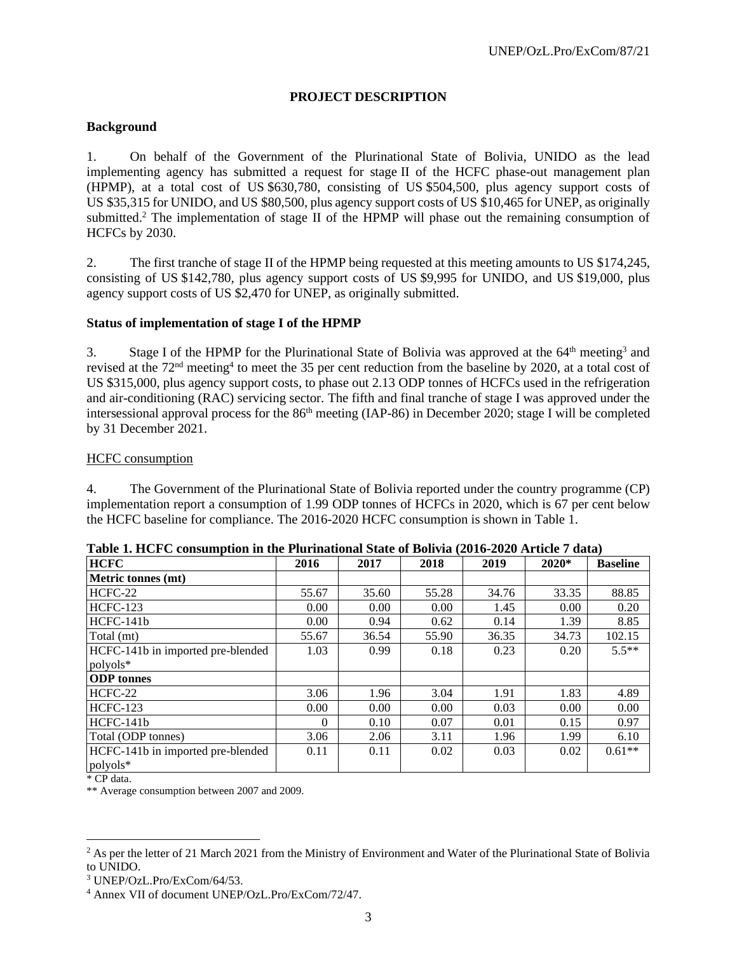# **PROJECT DESCRIPTION**

#### **Background**

1. On behalf of the Government of the Plurinational State of Bolivia, UNIDO as the lead implementing agency has submitted a request for stage II of the HCFC phase-out management plan (HPMP), at a total cost of US \$630,780, consisting of US \$504,500, plus agency support costs of US \$35,315 for UNIDO, and US \$80,500, plus agency support costs of US \$10,465 for UNEP, as originally submitted.<sup>2</sup> The implementation of stage II of the HPMP will phase out the remaining consumption of HCFCs by 2030.

2. The first tranche of stage II of the HPMP being requested at this meeting amounts to US \$174,245, consisting of US \$142,780, plus agency support costs of US \$9,995 for UNIDO, and US \$19,000, plus agency support costs of US \$2,470 for UNEP, as originally submitted.

#### **Status of implementation of stage I of the HPMP**

3. Stage I of the HPMP for the Plurinational State of Bolivia was approved at the 64<sup>th</sup> meeting<sup>3</sup> and revised at the 72<sup>nd</sup> meeting<sup>4</sup> to meet the 35 per cent reduction from the baseline by 2020, at a total cost of US \$315,000, plus agency support costs, to phase out 2.13 ODP tonnes of HCFCs used in the refrigeration and air-conditioning (RAC) servicing sector. The fifth and final tranche of stage I was approved under the intersessional approval process for the  $86<sup>th</sup>$  meeting (IAP-86) in December 2020; stage I will be completed by 31 December 2021.

#### HCFC consumption

4. The Government of the Plurinational State of Bolivia reported under the country programme (CP) implementation report a consumption of 1.99 ODP tonnes of HCFCs in 2020, which is 67 per cent below the HCFC baseline for compliance. The 2016-2020 HCFC consumption is shown in Table 1.

| <b>HCFC</b>                                   | 2016     | 2017  | 2018  | 2019  | $2020*$ | <b>Baseline</b> |
|-----------------------------------------------|----------|-------|-------|-------|---------|-----------------|
| Metric tonnes (mt)                            |          |       |       |       |         |                 |
| HCFC-22                                       | 55.67    | 35.60 | 55.28 | 34.76 | 33.35   | 88.85           |
| <b>HCFC-123</b>                               | 0.00     | 0.00  | 0.00  | 1.45  | 0.00    | 0.20            |
| HCFC-141b                                     | 0.00     | 0.94  | 0.62  | 0.14  | 1.39    | 8.85            |
| Total (mt)                                    | 55.67    | 36.54 | 55.90 | 36.35 | 34.73   | 102.15          |
| HCFC-141b in imported pre-blended             | 1.03     | 0.99  | 0.18  | 0.23  | 0.20    | $5.5**$         |
| polyols*                                      |          |       |       |       |         |                 |
| <b>ODP</b> tonnes                             |          |       |       |       |         |                 |
| HCFC-22                                       | 3.06     | 1.96  | 3.04  | 1.91  | 1.83    | 4.89            |
| <b>HCFC-123</b>                               | 0.00     | 0.00  | 0.00  | 0.03  | 0.00    | 0.00            |
| $HCFC-141b$                                   | $\Omega$ | 0.10  | 0.07  | 0.01  | 0.15    | 0.97            |
| Total (ODP tonnes)                            | 3.06     | 2.06  | 3.11  | 1.96  | 1.99    | 6.10            |
| HCFC-141b in imported pre-blended<br>polyols* | 0.11     | 0.11  | 0.02  | 0.03  | 0.02    | $0.61**$        |

**Table 1. HCFC consumption in the Plurinational State of Bolivia (2016-2020 Article 7 data)**

\* CP data.

\*\* Average consumption between 2007 and 2009.

 $2$  As per the letter of 21 March 2021 from the Ministry of Environment and Water of the Plurinational State of Bolivia to UNIDO.

<sup>3</sup> UNEP/OzL.Pro/ExCom/64/53.

<sup>4</sup> Annex VII of document UNEP/OzL.Pro/ExCom/72/47.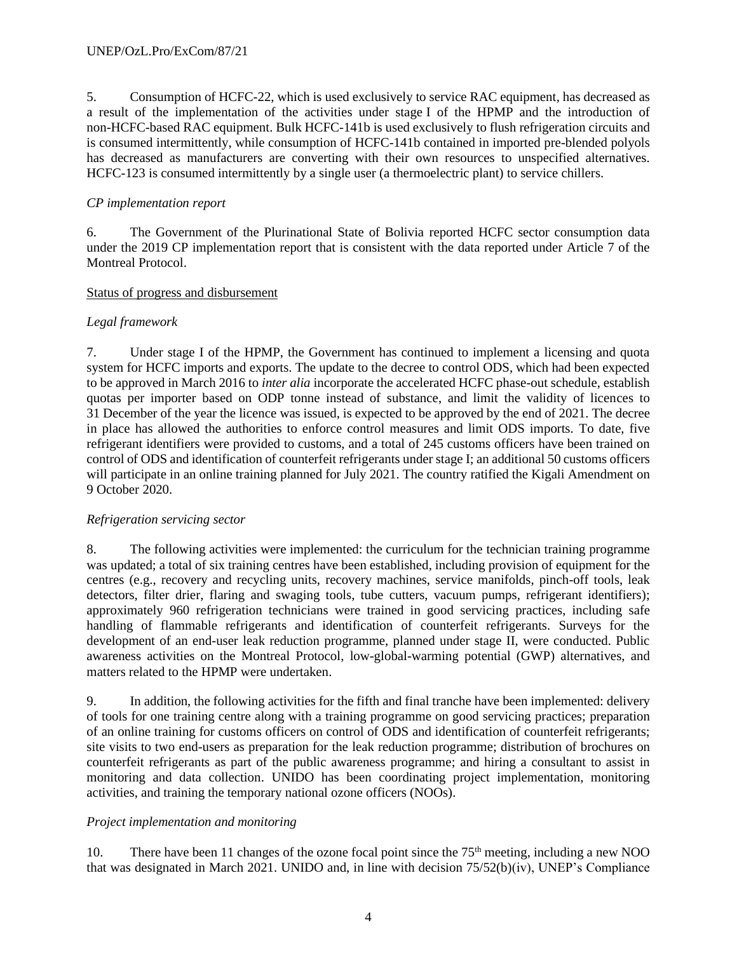5. Consumption of HCFC-22, which is used exclusively to service RAC equipment, has decreased as a result of the implementation of the activities under stage I of the HPMP and the introduction of non-HCFC-based RAC equipment. Bulk HCFC-141b is used exclusively to flush refrigeration circuits and is consumed intermittently, while consumption of HCFC-141b contained in imported pre-blended polyols has decreased as manufacturers are converting with their own resources to unspecified alternatives. HCFC-123 is consumed intermittently by a single user (a thermoelectric plant) to service chillers.

## *CP implementation report*

6. The Government of the Plurinational State of Bolivia reported HCFC sector consumption data under the 2019 CP implementation report that is consistent with the data reported under Article 7 of the Montreal Protocol.

## Status of progress and disbursement

## *Legal framework*

7. Under stage I of the HPMP, the Government has continued to implement a licensing and quota system for HCFC imports and exports. The update to the decree to control ODS, which had been expected to be approved in March 2016 to *inter alia* incorporate the accelerated HCFC phase-out schedule, establish quotas per importer based on ODP tonne instead of substance, and limit the validity of licences to 31 December of the year the licence was issued, is expected to be approved by the end of 2021. The decree in place has allowed the authorities to enforce control measures and limit ODS imports. To date, five refrigerant identifiers were provided to customs, and a total of 245 customs officers have been trained on control of ODS and identification of counterfeit refrigerants under stage I; an additional 50 customs officers will participate in an online training planned for July 2021. The country ratified the Kigali Amendment on 9 October 2020.

## *Refrigeration servicing sector*

8. The following activities were implemented: the curriculum for the technician training programme was updated; a total of six training centres have been established, including provision of equipment for the centres (e.g., recovery and recycling units, recovery machines, service manifolds, pinch-off tools, leak detectors, filter drier, flaring and swaging tools, tube cutters, vacuum pumps, refrigerant identifiers); approximately 960 refrigeration technicians were trained in good servicing practices, including safe handling of flammable refrigerants and identification of counterfeit refrigerants. Surveys for the development of an end-user leak reduction programme, planned under stage II, were conducted. Public awareness activities on the Montreal Protocol, low-global-warming potential (GWP) alternatives, and matters related to the HPMP were undertaken.

9. In addition, the following activities for the fifth and final tranche have been implemented: delivery of tools for one training centre along with a training programme on good servicing practices; preparation of an online training for customs officers on control of ODS and identification of counterfeit refrigerants; site visits to two end-users as preparation for the leak reduction programme; distribution of brochures on counterfeit refrigerants as part of the public awareness programme; and hiring a consultant to assist in monitoring and data collection. UNIDO has been coordinating project implementation, monitoring activities, and training the temporary national ozone officers (NOOs).

## *Project implementation and monitoring*

10. There have been 11 changes of the ozone focal point since the 75<sup>th</sup> meeting, including a new NOO that was designated in March 2021. UNIDO and, in line with decision 75/52(b)(iv), UNEP's Compliance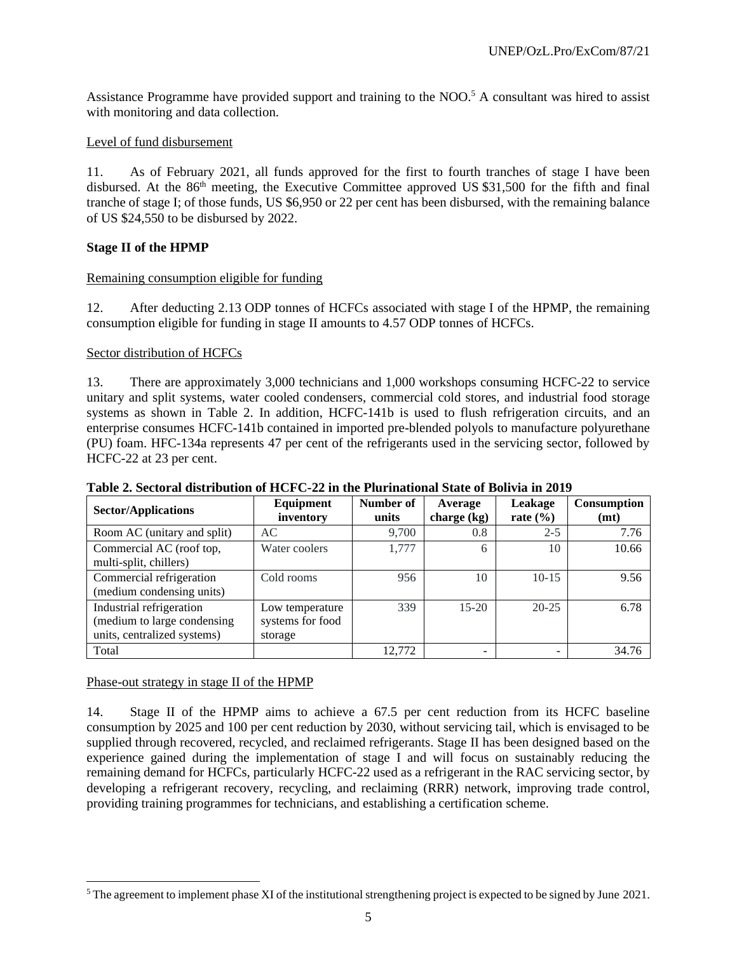Assistance Programme have provided support and training to the NOO. <sup>5</sup> A consultant was hired to assist with monitoring and data collection.

## Level of fund disbursement

11. As of February 2021, all funds approved for the first to fourth tranches of stage I have been disbursed. At the 86<sup>th</sup> meeting, the Executive Committee approved US \$31,500 for the fifth and final tranche of stage I; of those funds, US \$6,950 or 22 per cent has been disbursed, with the remaining balance of US \$24,550 to be disbursed by 2022.

## **Stage II of the HPMP**

## Remaining consumption eligible for funding

12. After deducting 2.13 ODP tonnes of HCFCs associated with stage I of the HPMP, the remaining consumption eligible for funding in stage II amounts to 4.57 ODP tonnes of HCFCs.

## Sector distribution of HCFCs

13. There are approximately 3,000 technicians and 1,000 workshops consuming HCFC-22 to service unitary and split systems, water cooled condensers, commercial cold stores, and industrial food storage systems as shown in Table 2. In addition, HCFC-141b is used to flush refrigeration circuits, and an enterprise consumes HCFC-141b contained in imported pre-blended polyols to manufacture polyurethane (PU) foam. HFC-134a represents 47 per cent of the refrigerants used in the servicing sector, followed by HCFC-22 at 23 per cent.

| <b>Sector/Applications</b>                                                             | Equipment<br>inventory                         | Number of<br>units | Average<br>charge $(kg)$ | Leakage<br>rate $(\% )$ | <b>Consumption</b><br>(mt) |
|----------------------------------------------------------------------------------------|------------------------------------------------|--------------------|--------------------------|-------------------------|----------------------------|
| Room AC (unitary and split)                                                            | AC                                             | 9,700              | 0.8                      | $2 - 5$                 | 7.76                       |
| Commercial AC (roof top,<br>multi-split, chillers)                                     | Water coolers                                  | 1,777              | 6                        | 10                      | 10.66                      |
| Commercial refrigeration<br>(medium condensing units)                                  | Cold rooms                                     | 956                | 10                       | $10 - 15$               | 9.56                       |
| Industrial refrigeration<br>(medium to large condensing<br>units, centralized systems) | Low temperature<br>systems for food<br>storage | 339                | $15-20$                  | $20 - 25$               | 6.78                       |
| Total                                                                                  |                                                | 12.772             |                          |                         | 34.76                      |

## **Table 2. Sectoral distribution of HCFC-22 in the Plurinational State of Bolivia in 2019**

## Phase-out strategy in stage II of the HPMP

14. Stage II of the HPMP aims to achieve a 67.5 per cent reduction from its HCFC baseline consumption by 2025 and 100 per cent reduction by 2030, without servicing tail, which is envisaged to be supplied through recovered, recycled, and reclaimed refrigerants. Stage II has been designed based on the experience gained during the implementation of stage I and will focus on sustainably reducing the remaining demand for HCFCs, particularly HCFC-22 used as a refrigerant in the RAC servicing sector, by developing a refrigerant recovery, recycling, and reclaiming (RRR) network, improving trade control, providing training programmes for technicians, and establishing a certification scheme.

<sup>&</sup>lt;sup>5</sup> The agreement to implement phase XI of the institutional strengthening project is expected to be signed by June 2021.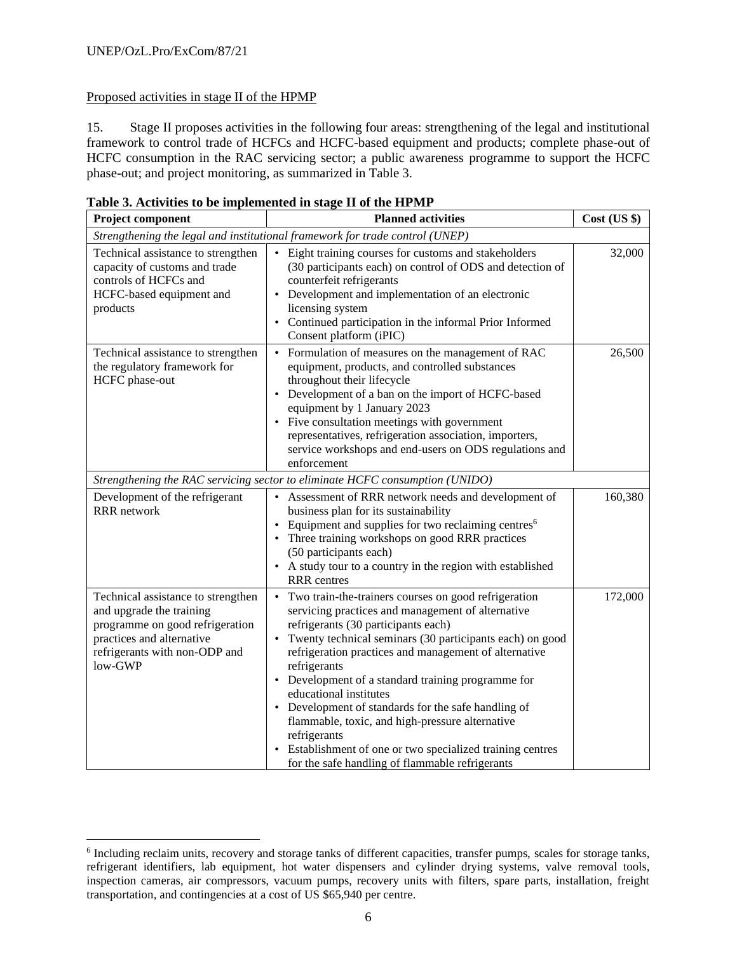# Proposed activities in stage II of the HPMP

15. Stage II proposes activities in the following four areas: strengthening of the legal and institutional framework to control trade of HCFCs and HCFC-based equipment and products; complete phase-out of HCFC consumption in the RAC servicing sector; a public awareness programme to support the HCFC phase-out; and project monitoring, as summarized in Table 3.

| <b>Planned activities</b><br><b>Project component</b>                                                                                                                      |                                                                                                                                                                                                                                                                                                                                                                                                                                                                                                                                                                                                                                            |         |  |
|----------------------------------------------------------------------------------------------------------------------------------------------------------------------------|--------------------------------------------------------------------------------------------------------------------------------------------------------------------------------------------------------------------------------------------------------------------------------------------------------------------------------------------------------------------------------------------------------------------------------------------------------------------------------------------------------------------------------------------------------------------------------------------------------------------------------------------|---------|--|
|                                                                                                                                                                            | Strengthening the legal and institutional framework for trade control (UNEP)                                                                                                                                                                                                                                                                                                                                                                                                                                                                                                                                                               |         |  |
| Technical assistance to strengthen<br>capacity of customs and trade<br>controls of HCFCs and<br>HCFC-based equipment and<br>products                                       | • Eight training courses for customs and stakeholders<br>(30 participants each) on control of ODS and detection of<br>counterfeit refrigerants<br>• Development and implementation of an electronic<br>licensing system<br>• Continued participation in the informal Prior Informed<br>Consent platform (iPIC)                                                                                                                                                                                                                                                                                                                             | 32,000  |  |
| Technical assistance to strengthen<br>the regulatory framework for<br>HCFC phase-out                                                                                       | Formulation of measures on the management of RAC<br>$\bullet$<br>equipment, products, and controlled substances<br>throughout their lifecycle<br>• Development of a ban on the import of HCFC-based<br>equipment by 1 January 2023<br>• Five consultation meetings with government<br>representatives, refrigeration association, importers,<br>service workshops and end-users on ODS regulations and<br>enforcement                                                                                                                                                                                                                      | 26,500  |  |
|                                                                                                                                                                            | Strengthening the RAC servicing sector to eliminate HCFC consumption (UNIDO)                                                                                                                                                                                                                                                                                                                                                                                                                                                                                                                                                               |         |  |
| Development of the refrigerant<br><b>RRR</b> network                                                                                                                       | • Assessment of RRR network needs and development of<br>business plan for its sustainability<br>• Equipment and supplies for two reclaiming centres <sup>6</sup><br>• Three training workshops on good RRR practices<br>(50 participants each)<br>• A study tour to a country in the region with established<br><b>RRR</b> centres                                                                                                                                                                                                                                                                                                         | 160,380 |  |
| Technical assistance to strengthen<br>and upgrade the training<br>programme on good refrigeration<br>practices and alternative<br>refrigerants with non-ODP and<br>low-GWP | Two train-the-trainers courses on good refrigeration<br>$\bullet$<br>servicing practices and management of alternative<br>refrigerants (30 participants each)<br>Twenty technical seminars (30 participants each) on good<br>$\bullet$<br>refrigeration practices and management of alternative<br>refrigerants<br>• Development of a standard training programme for<br>educational institutes<br>• Development of standards for the safe handling of<br>flammable, toxic, and high-pressure alternative<br>refrigerants<br>• Establishment of one or two specialized training centres<br>for the safe handling of flammable refrigerants | 172,000 |  |

**Table 3. Activities to be implemented in stage II of the HPMP** 

<sup>6</sup> Including reclaim units, recovery and storage tanks of different capacities, transfer pumps, scales for storage tanks, refrigerant identifiers, lab equipment, hot water dispensers and cylinder drying systems, valve removal tools, inspection cameras, air compressors, vacuum pumps, recovery units with filters, spare parts, installation, freight transportation, and contingencies at a cost of US \$65,940 per centre.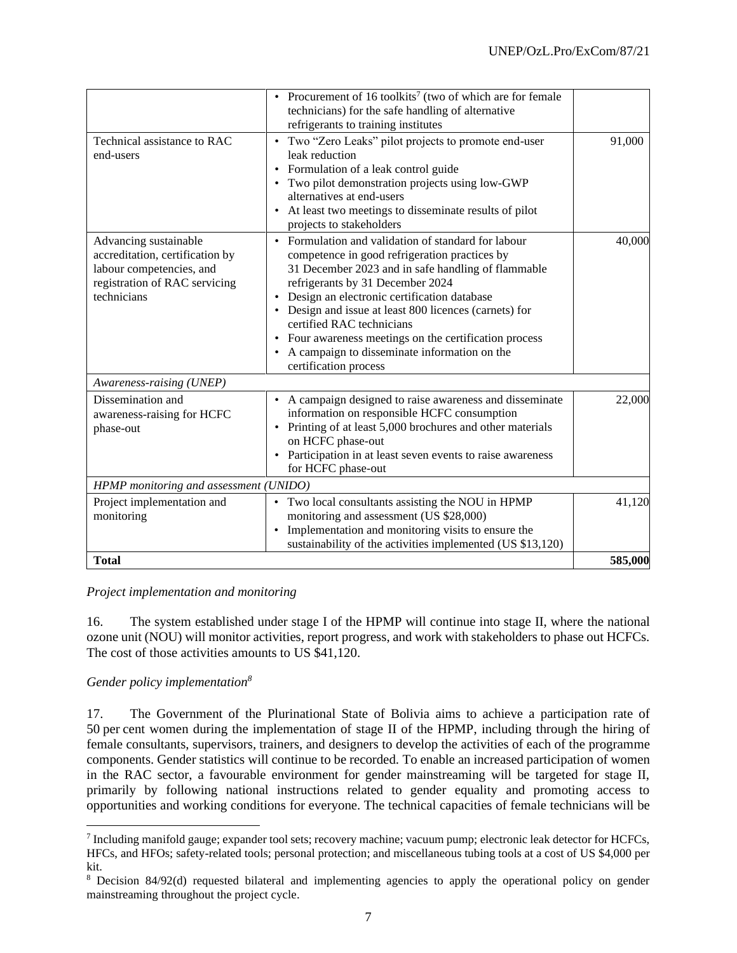|                                                                                                                                      | Procurement of 16 toolkits <sup>7</sup> (two of which are for female                                                                                                                                                                                                                                                                                                                                                                                                  |         |
|--------------------------------------------------------------------------------------------------------------------------------------|-----------------------------------------------------------------------------------------------------------------------------------------------------------------------------------------------------------------------------------------------------------------------------------------------------------------------------------------------------------------------------------------------------------------------------------------------------------------------|---------|
|                                                                                                                                      | technicians) for the safe handling of alternative                                                                                                                                                                                                                                                                                                                                                                                                                     |         |
|                                                                                                                                      | refrigerants to training institutes                                                                                                                                                                                                                                                                                                                                                                                                                                   |         |
| Technical assistance to RAC<br>end-users                                                                                             | • Two "Zero Leaks" pilot projects to promote end-user<br>leak reduction<br>• Formulation of a leak control guide<br>Two pilot demonstration projects using low-GWP<br>alternatives at end-users<br>At least two meetings to disseminate results of pilot<br>projects to stakeholders                                                                                                                                                                                  | 91,000  |
| Advancing sustainable<br>accreditation, certification by<br>labour competencies, and<br>registration of RAC servicing<br>technicians | • Formulation and validation of standard for labour<br>competence in good refrigeration practices by<br>31 December 2023 and in safe handling of flammable<br>refrigerants by 31 December 2024<br>Design an electronic certification database<br>• Design and issue at least 800 licences (carnets) for<br>certified RAC technicians<br>Four awareness meetings on the certification process<br>A campaign to disseminate information on the<br>certification process | 40,000  |
| Awareness-raising (UNEP)                                                                                                             |                                                                                                                                                                                                                                                                                                                                                                                                                                                                       |         |
| Dissemination and<br>awareness-raising for HCFC<br>phase-out                                                                         | A campaign designed to raise awareness and disseminate<br>information on responsible HCFC consumption<br>Printing of at least 5,000 brochures and other materials<br>on HCFC phase-out<br>Participation in at least seven events to raise awareness<br>for HCFC phase-out                                                                                                                                                                                             | 22,000  |
| HPMP monitoring and assessment (UNIDO)                                                                                               |                                                                                                                                                                                                                                                                                                                                                                                                                                                                       |         |
| Project implementation and<br>monitoring                                                                                             | Two local consultants assisting the NOU in HPMP<br>٠<br>monitoring and assessment (US \$28,000)<br>Implementation and monitoring visits to ensure the<br>sustainability of the activities implemented (US \$13,120)                                                                                                                                                                                                                                                   | 41,120  |
| <b>Total</b>                                                                                                                         |                                                                                                                                                                                                                                                                                                                                                                                                                                                                       | 585,000 |

*Project implementation and monitoring*

16. The system established under stage I of the HPMP will continue into stage II, where the national ozone unit (NOU) will monitor activities, report progress, and work with stakeholders to phase out HCFCs. The cost of those activities amounts to US \$41,120.

# *Gender policy implementation<sup>8</sup>*

17. The Government of the Plurinational State of Bolivia aims to achieve a participation rate of 50 per cent women during the implementation of stage II of the HPMP, including through the hiring of female consultants, supervisors, trainers, and designers to develop the activities of each of the programme components. Gender statistics will continue to be recorded. To enable an increased participation of women in the RAC sector, a favourable environment for gender mainstreaming will be targeted for stage II, primarily by following national instructions related to gender equality and promoting access to opportunities and working conditions for everyone. The technical capacities of female technicians will be

<sup>&</sup>lt;sup>7</sup> Including manifold gauge; expander tool sets; recovery machine; vacuum pump; electronic leak detector for HCFCs, HFCs, and HFOs; safety-related tools; personal protection; and miscellaneous tubing tools at a cost of US \$4,000 per kit.

<sup>8</sup> Decision 84/92(d) requested bilateral and implementing agencies to apply the operational policy on gender mainstreaming throughout the project cycle.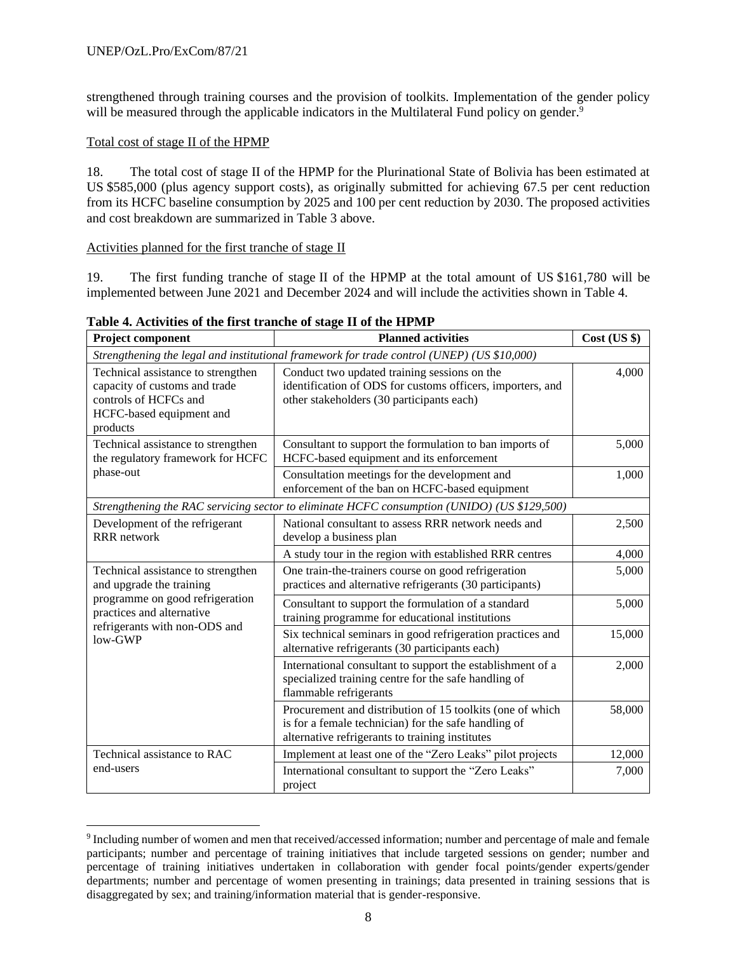strengthened through training courses and the provision of toolkits. Implementation of the gender policy will be measured through the applicable indicators in the Multilateral Fund policy on gender.<sup>9</sup>

## Total cost of stage II of the HPMP

18. The total cost of stage II of the HPMP for the Plurinational State of Bolivia has been estimated at US \$585,000 (plus agency support costs), as originally submitted for achieving 67.5 per cent reduction from its HCFC baseline consumption by 2025 and 100 per cent reduction by 2030. The proposed activities and cost breakdown are summarized in Table 3 above.

## Activities planned for the first tranche of stage II

19. The first funding tranche of stage II of the HPMP at the total amount of US \$161,780 will be implemented between June 2021 and December 2024 and will include the activities shown in Table 4.

| Project component                                                                                                                    | <b>Planned activities</b>                                                                                                                                            | $Cost$ (US $\})$ |  |  |  |  |
|--------------------------------------------------------------------------------------------------------------------------------------|----------------------------------------------------------------------------------------------------------------------------------------------------------------------|------------------|--|--|--|--|
|                                                                                                                                      | Strengthening the legal and institutional framework for trade control (UNEP) (US \$10,000)                                                                           |                  |  |  |  |  |
| Technical assistance to strengthen<br>capacity of customs and trade<br>controls of HCFCs and<br>HCFC-based equipment and<br>products | Conduct two updated training sessions on the<br>identification of ODS for customs officers, importers, and<br>other stakeholders (30 participants each)              | 4,000            |  |  |  |  |
| Technical assistance to strengthen<br>the regulatory framework for HCFC                                                              | Consultant to support the formulation to ban imports of<br>HCFC-based equipment and its enforcement                                                                  | 5,000            |  |  |  |  |
| phase-out                                                                                                                            | Consultation meetings for the development and<br>enforcement of the ban on HCFC-based equipment                                                                      | 1,000            |  |  |  |  |
| Strengthening the RAC servicing sector to eliminate HCFC consumption (UNIDO) (US \$129,500)                                          |                                                                                                                                                                      |                  |  |  |  |  |
| Development of the refrigerant<br><b>RRR</b> network                                                                                 | National consultant to assess RRR network needs and<br>develop a business plan                                                                                       | 2,500            |  |  |  |  |
|                                                                                                                                      | A study tour in the region with established RRR centres                                                                                                              | 4,000            |  |  |  |  |
| Technical assistance to strengthen<br>and upgrade the training                                                                       | One train-the-trainers course on good refrigeration<br>practices and alternative refrigerants (30 participants)                                                      | 5,000            |  |  |  |  |
| programme on good refrigeration<br>practices and alternative                                                                         | Consultant to support the formulation of a standard<br>training programme for educational institutions                                                               | 5,000            |  |  |  |  |
| refrigerants with non-ODS and<br>low-GWP                                                                                             | Six technical seminars in good refrigeration practices and<br>alternative refrigerants (30 participants each)                                                        | 15,000           |  |  |  |  |
|                                                                                                                                      | International consultant to support the establishment of a<br>specialized training centre for the safe handling of<br>flammable refrigerants                         | 2,000            |  |  |  |  |
|                                                                                                                                      | Procurement and distribution of 15 toolkits (one of which<br>is for a female technician) for the safe handling of<br>alternative refrigerants to training institutes | 58,000           |  |  |  |  |
| Technical assistance to RAC                                                                                                          | Implement at least one of the "Zero Leaks" pilot projects                                                                                                            | 12,000           |  |  |  |  |
| end-users                                                                                                                            | International consultant to support the "Zero Leaks"<br>project                                                                                                      | 7,000            |  |  |  |  |

**Table 4. Activities of the first tranche of stage II of the HPMP**

<sup>9</sup> Including number of women and men that received/accessed information; number and percentage of male and female participants; number and percentage of training initiatives that include targeted sessions on gender; number and percentage of training initiatives undertaken in collaboration with gender focal points/gender experts/gender departments; number and percentage of women presenting in trainings; data presented in training sessions that is disaggregated by sex; and training/information material that is gender-responsive.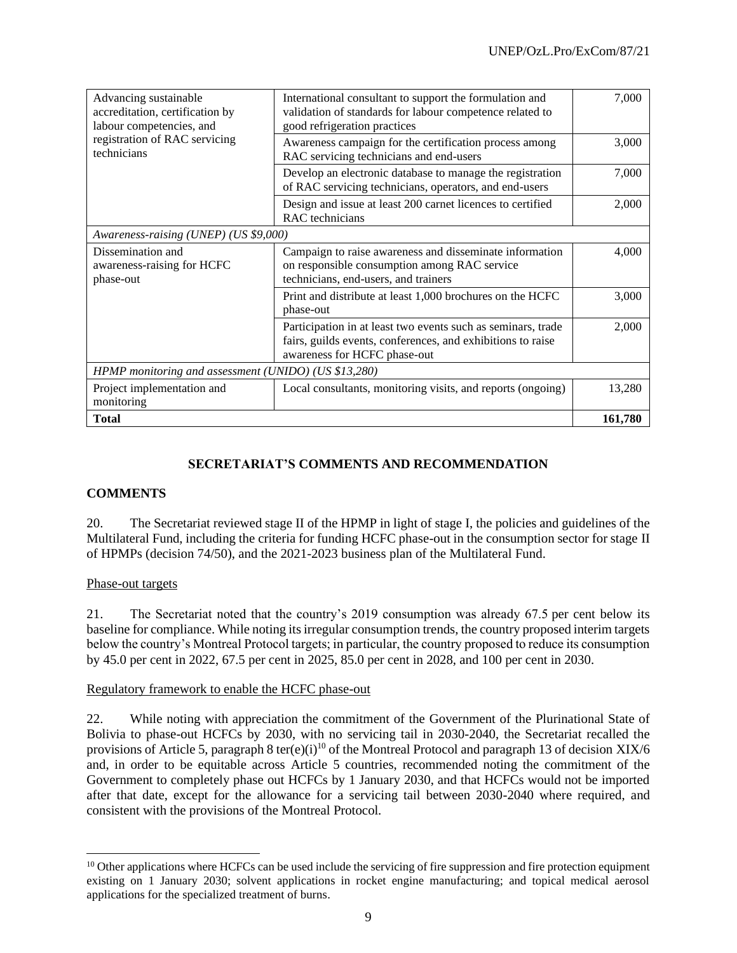| Advancing sustainable<br>accreditation, certification by<br>labour competencies, and | International consultant to support the formulation and<br>validation of standards for labour competence related to<br>good refrigeration practices         | 7,000   |  |
|--------------------------------------------------------------------------------------|-------------------------------------------------------------------------------------------------------------------------------------------------------------|---------|--|
| registration of RAC servicing<br>technicians                                         | Awareness campaign for the certification process among<br>RAC servicing technicians and end-users                                                           | 3,000   |  |
|                                                                                      | Develop an electronic database to manage the registration<br>of RAC servicing technicians, operators, and end-users                                         | 7,000   |  |
|                                                                                      | Design and issue at least 200 carnet licences to certified<br>RAC technicians                                                                               | 2,000   |  |
| Awareness-raising (UNEP) (US \$9,000)                                                |                                                                                                                                                             |         |  |
| Dissemination and<br>awareness-raising for HCFC<br>phase-out                         | Campaign to raise awareness and disseminate information<br>on responsible consumption among RAC service<br>technicians, end-users, and trainers             | 4,000   |  |
|                                                                                      | Print and distribute at least 1,000 brochures on the HCFC<br>phase-out                                                                                      | 3,000   |  |
|                                                                                      | Participation in at least two events such as seminars, trade<br>fairs, guilds events, conferences, and exhibitions to raise<br>awareness for HCFC phase-out | 2,000   |  |
| HPMP monitoring and assessment (UNIDO) (US \$13,280)                                 |                                                                                                                                                             |         |  |
| Project implementation and<br>monitoring                                             | Local consultants, monitoring visits, and reports (ongoing)                                                                                                 | 13,280  |  |
| <b>Total</b>                                                                         |                                                                                                                                                             | 161,780 |  |

# **SECRETARIAT'S COMMENTS AND RECOMMENDATION**

## **COMMENTS**

20. The Secretariat reviewed stage II of the HPMP in light of stage I, the policies and guidelines of the Multilateral Fund, including the criteria for funding HCFC phase-out in the consumption sector for stage II of HPMPs (decision 74/50), and the 2021-2023 business plan of the Multilateral Fund.

## Phase-out targets

21. The Secretariat noted that the country's 2019 consumption was already 67.5 per cent below its baseline for compliance. While noting its irregular consumption trends, the country proposed interim targets below the country's Montreal Protocol targets; in particular, the country proposed to reduce its consumption by 45.0 per cent in 2022, 67.5 per cent in 2025, 85.0 per cent in 2028, and 100 per cent in 2030.

## Regulatory framework to enable the HCFC phase-out

22. While noting with appreciation the commitment of the Government of the Plurinational State of Bolivia to phase-out HCFCs by 2030, with no servicing tail in 2030-2040, the Secretariat recalled the provisions of Article 5, paragraph 8 ter(e)(i)<sup>10</sup> of the Montreal Protocol and paragraph 13 of decision XIX/6 and, in order to be equitable across Article 5 countries, recommended noting the commitment of the Government to completely phase out HCFCs by 1 January 2030, and that HCFCs would not be imported after that date, except for the allowance for a servicing tail between 2030-2040 where required, and consistent with the provisions of the Montreal Protocol.

 $10$  Other applications where HCFCs can be used include the servicing of fire suppression and fire protection equipment existing on 1 January 2030; solvent applications in rocket engine manufacturing; and topical medical aerosol applications for the specialized treatment of burns.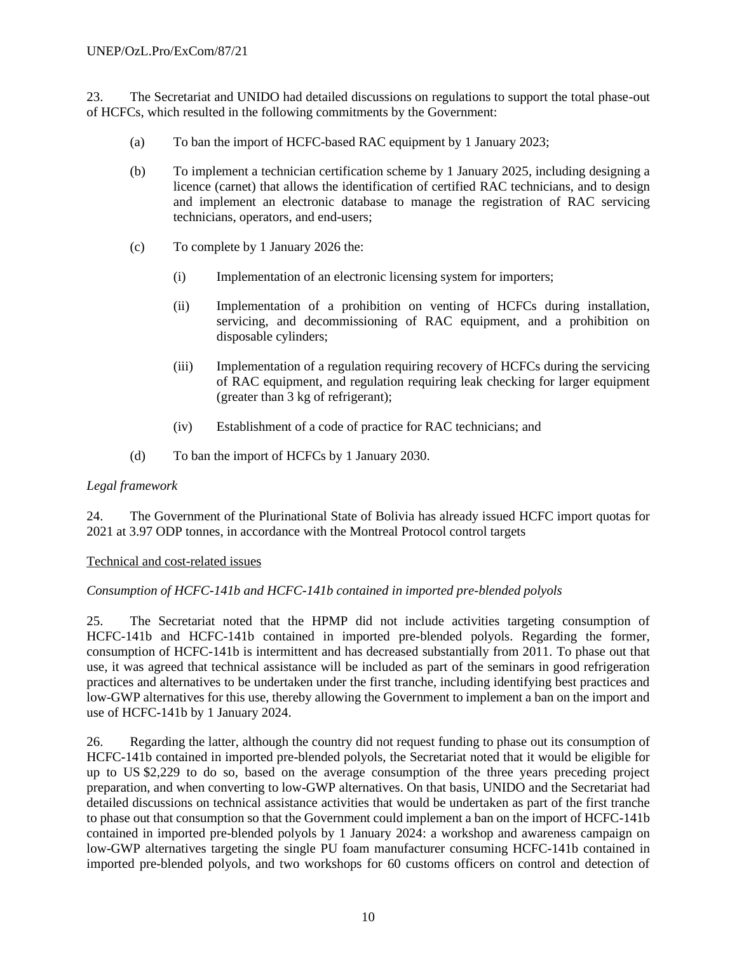23. The Secretariat and UNIDO had detailed discussions on regulations to support the total phase-out of HCFCs, which resulted in the following commitments by the Government:

- (a) To ban the import of HCFC-based RAC equipment by 1 January 2023;
- (b) To implement a technician certification scheme by 1 January 2025, including designing a licence (carnet) that allows the identification of certified RAC technicians, and to design and implement an electronic database to manage the registration of RAC servicing technicians, operators, and end-users;
- (c) To complete by 1 January 2026 the:
	- (i) Implementation of an electronic licensing system for importers;
	- (ii) Implementation of a prohibition on venting of HCFCs during installation, servicing, and decommissioning of RAC equipment, and a prohibition on disposable cylinders;
	- (iii) Implementation of a regulation requiring recovery of HCFCs during the servicing of RAC equipment, and regulation requiring leak checking for larger equipment (greater than 3 kg of refrigerant);
	- (iv) Establishment of a code of practice for RAC technicians; and
- (d) To ban the import of HCFCs by 1 January 2030.

## *Legal framework*

24. The Government of the Plurinational State of Bolivia has already issued HCFC import quotas for 2021 at 3.97 ODP tonnes, in accordance with the Montreal Protocol control targets

#### Technical and cost-related issues

## *Consumption of HCFC-141b and HCFC-141b contained in imported pre-blended polyols*

25. The Secretariat noted that the HPMP did not include activities targeting consumption of HCFC-141b and HCFC-141b contained in imported pre-blended polyols. Regarding the former, consumption of HCFC-141b is intermittent and has decreased substantially from 2011. To phase out that use, it was agreed that technical assistance will be included as part of the seminars in good refrigeration practices and alternatives to be undertaken under the first tranche, including identifying best practices and low-GWP alternatives for this use, thereby allowing the Government to implement a ban on the import and use of HCFC-141b by 1 January 2024.

26. Regarding the latter, although the country did not request funding to phase out its consumption of HCFC-141b contained in imported pre-blended polyols, the Secretariat noted that it would be eligible for up to US \$2,229 to do so, based on the average consumption of the three years preceding project preparation, and when converting to low-GWP alternatives. On that basis, UNIDO and the Secretariat had detailed discussions on technical assistance activities that would be undertaken as part of the first tranche to phase out that consumption so that the Government could implement a ban on the import of HCFC-141b contained in imported pre-blended polyols by 1 January 2024: a workshop and awareness campaign on low-GWP alternatives targeting the single PU foam manufacturer consuming HCFC-141b contained in imported pre-blended polyols, and two workshops for 60 customs officers on control and detection of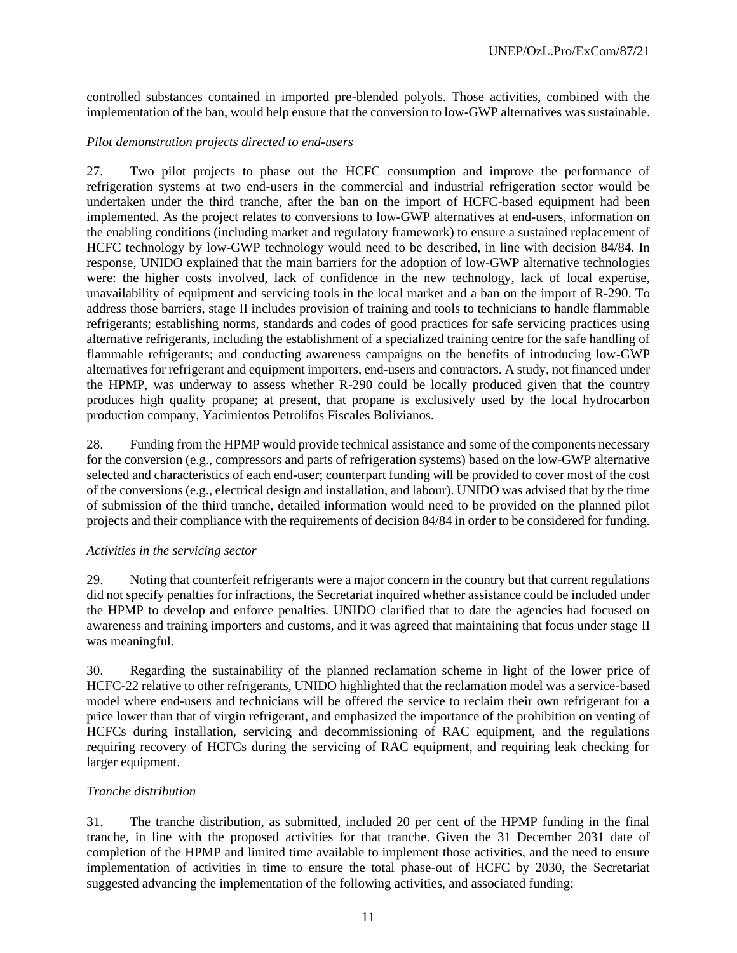controlled substances contained in imported pre-blended polyols. Those activities, combined with the implementation of the ban, would help ensure that the conversion to low-GWP alternatives was sustainable.

#### *Pilot demonstration projects directed to end-users*

27. Two pilot projects to phase out the HCFC consumption and improve the performance of refrigeration systems at two end-users in the commercial and industrial refrigeration sector would be undertaken under the third tranche, after the ban on the import of HCFC-based equipment had been implemented. As the project relates to conversions to low-GWP alternatives at end-users, information on the enabling conditions (including market and regulatory framework) to ensure a sustained replacement of HCFC technology by low-GWP technology would need to be described, in line with decision 84/84. In response, UNIDO explained that the main barriers for the adoption of low-GWP alternative technologies were: the higher costs involved, lack of confidence in the new technology, lack of local expertise, unavailability of equipment and servicing tools in the local market and a ban on the import of R-290. To address those barriers, stage II includes provision of training and tools to technicians to handle flammable refrigerants; establishing norms, standards and codes of good practices for safe servicing practices using alternative refrigerants, including the establishment of a specialized training centre for the safe handling of flammable refrigerants; and conducting awareness campaigns on the benefits of introducing low-GWP alternatives for refrigerant and equipment importers, end-users and contractors. A study, not financed under the HPMP, was underway to assess whether R-290 could be locally produced given that the country produces high quality propane; at present, that propane is exclusively used by the local hydrocarbon production company, Yacimientos Petrolifos Fiscales Bolivianos.

28. Funding from the HPMP would provide technical assistance and some of the components necessary for the conversion (e.g., compressors and parts of refrigeration systems) based on the low-GWP alternative selected and characteristics of each end-user; counterpart funding will be provided to cover most of the cost of the conversions (e.g., electrical design and installation, and labour). UNIDO was advised that by the time of submission of the third tranche, detailed information would need to be provided on the planned pilot projects and their compliance with the requirements of decision 84/84 in order to be considered for funding.

#### *Activities in the servicing sector*

29. Noting that counterfeit refrigerants were a major concern in the country but that current regulations did not specify penalties for infractions, the Secretariat inquired whether assistance could be included under the HPMP to develop and enforce penalties. UNIDO clarified that to date the agencies had focused on awareness and training importers and customs, and it was agreed that maintaining that focus under stage II was meaningful.

30. Regarding the sustainability of the planned reclamation scheme in light of the lower price of HCFC-22 relative to other refrigerants, UNIDO highlighted that the reclamation model was a service-based model where end-users and technicians will be offered the service to reclaim their own refrigerant for a price lower than that of virgin refrigerant, and emphasized the importance of the prohibition on venting of HCFCs during installation, servicing and decommissioning of RAC equipment, and the regulations requiring recovery of HCFCs during the servicing of RAC equipment, and requiring leak checking for larger equipment.

## *Tranche distribution*

31. The tranche distribution, as submitted, included 20 per cent of the HPMP funding in the final tranche, in line with the proposed activities for that tranche. Given the 31 December 2031 date of completion of the HPMP and limited time available to implement those activities, and the need to ensure implementation of activities in time to ensure the total phase-out of HCFC by 2030, the Secretariat suggested advancing the implementation of the following activities, and associated funding: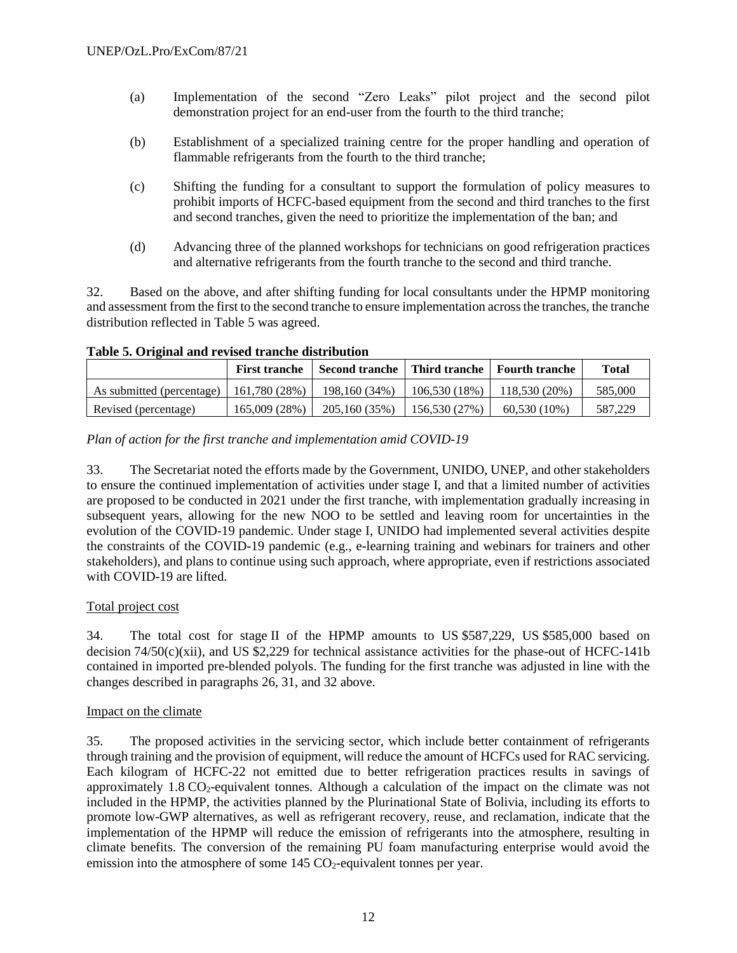- (a) Implementation of the second "Zero Leaks" pilot project and the second pilot demonstration project for an end-user from the fourth to the third tranche;
- (b) Establishment of a specialized training centre for the proper handling and operation of flammable refrigerants from the fourth to the third tranche;
- (c) Shifting the funding for a consultant to support the formulation of policy measures to prohibit imports of HCFC-based equipment from the second and third tranches to the first and second tranches, given the need to prioritize the implementation of the ban; and
- (d) Advancing three of the planned workshops for technicians on good refrigeration practices and alternative refrigerants from the fourth tranche to the second and third tranche.

32. Based on the above, and after shifting funding for local consultants under the HPMP monitoring and assessment from the first to the second tranche to ensure implementation across the tranches, the tranche distribution reflected in Table 5 was agreed.

**Table 5. Original and revised tranche distribution**

|                           | <b>First tranche</b> | Second tranche   Third tranche   Fourth tranche |               |                | <b>Total</b> |
|---------------------------|----------------------|-------------------------------------------------|---------------|----------------|--------------|
| As submitted (percentage) | 161.780(28%)         | 198,160 (34%)                                   | 106.530(18%)  | 118.530 (20%)  | 585,000      |
| Revised (percentage)      | 165,009 (28%)        | 205,160 (35%)                                   | 156,530 (27%) | $60,530(10\%)$ | 587.229      |

## *Plan of action for the first tranche and implementation amid COVID-19*

33. The Secretariat noted the efforts made by the Government, UNIDO, UNEP, and other stakeholders to ensure the continued implementation of activities under stage I, and that a limited number of activities are proposed to be conducted in 2021 under the first tranche, with implementation gradually increasing in subsequent years, allowing for the new NOO to be settled and leaving room for uncertainties in the evolution of the COVID-19 pandemic. Under stage I, UNIDO had implemented several activities despite the constraints of the COVID-19 pandemic (e.g., e-learning training and webinars for trainers and other stakeholders), and plans to continue using such approach, where appropriate, even if restrictions associated with COVID-19 are lifted.

## Total project cost

34. The total cost for stage II of the HPMP amounts to US \$587,229, US \$585,000 based on decision 74/50(c)(xii), and US \$2,229 for technical assistance activities for the phase-out of HCFC-141b contained in imported pre-blended polyols. The funding for the first tranche was adjusted in line with the changes described in paragraphs 26, 31, and 32 above.

## Impact on the climate

35. The proposed activities in the servicing sector, which include better containment of refrigerants through training and the provision of equipment, will reduce the amount of HCFCs used for RAC servicing. Each kilogram of HCFC-22 not emitted due to better refrigeration practices results in savings of approximately  $1.8 \text{ CO}_2$ -equivalent tonnes. Although a calculation of the impact on the climate was not included in the HPMP, the activities planned by the Plurinational State of Bolivia, including its efforts to promote low-GWP alternatives, as well as refrigerant recovery, reuse, and reclamation, indicate that the implementation of the HPMP will reduce the emission of refrigerants into the atmosphere, resulting in climate benefits. The conversion of the remaining PU foam manufacturing enterprise would avoid the emission into the atmosphere of some  $145 \text{ CO}_2$ -equivalent tonnes per year.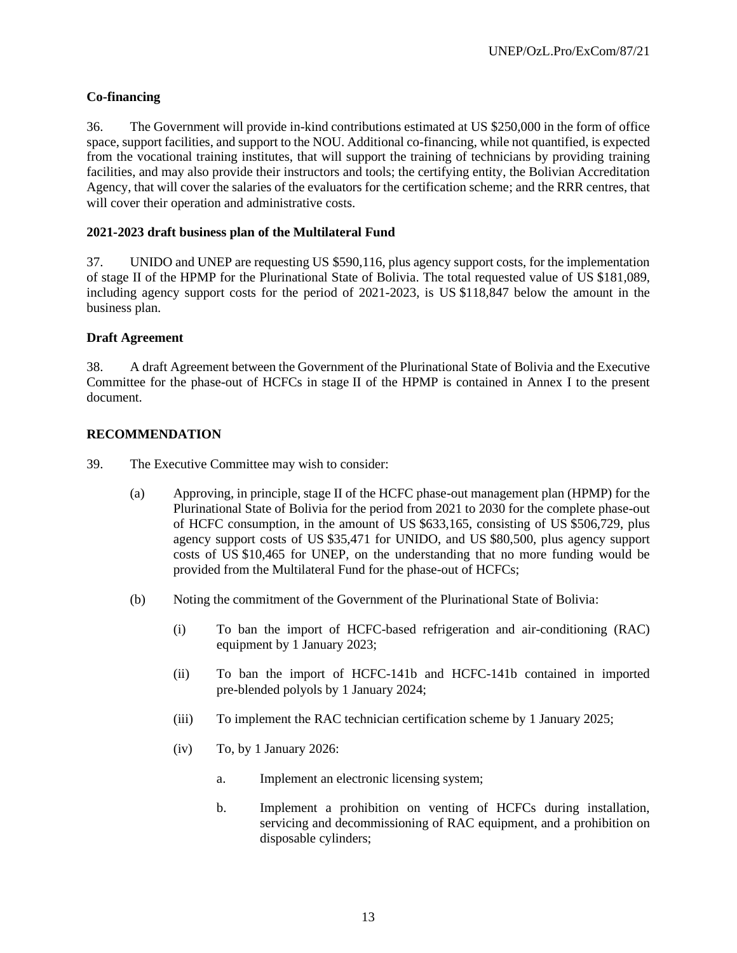# **Co-financing**

36. The Government will provide in-kind contributions estimated at US \$250,000 in the form of office space, support facilities, and support to the NOU. Additional co-financing, while not quantified, is expected from the vocational training institutes, that will support the training of technicians by providing training facilities, and may also provide their instructors and tools; the certifying entity, the Bolivian Accreditation Agency, that will cover the salaries of the evaluators for the certification scheme; and the RRR centres, that will cover their operation and administrative costs.

# **2021-2023 draft business plan of the Multilateral Fund**

37. UNIDO and UNEP are requesting US \$590,116, plus agency support costs, for the implementation of stage II of the HPMP for the Plurinational State of Bolivia. The total requested value of US \$181,089, including agency support costs for the period of 2021-2023, is US \$118,847 below the amount in the business plan.

# **Draft Agreement**

38. A draft Agreement between the Government of the Plurinational State of Bolivia and the Executive Committee for the phase-out of HCFCs in stage II of the HPMP is contained in Annex I to the present document.

# **RECOMMENDATION**

- 39. The Executive Committee may wish to consider:
	- (a) Approving, in principle, stage II of the HCFC phase-out management plan (HPMP) for the Plurinational State of Bolivia for the period from 2021 to 2030 for the complete phase-out of HCFC consumption, in the amount of US \$633,165, consisting of US \$506,729, plus agency support costs of US \$35,471 for UNIDO, and US \$80,500, plus agency support costs of US \$10,465 for UNEP, on the understanding that no more funding would be provided from the Multilateral Fund for the phase-out of HCFCs;
	- (b) Noting the commitment of the Government of the Plurinational State of Bolivia:
		- (i) To ban the import of HCFC-based refrigeration and air-conditioning (RAC) equipment by 1 January 2023;
		- (ii) To ban the import of HCFC-141b and HCFC-141b contained in imported pre-blended polyols by 1 January 2024;
		- (iii) To implement the RAC technician certification scheme by 1 January 2025;
		- (iv) To, by 1 January 2026:
			- a. Implement an electronic licensing system;
			- b. Implement a prohibition on venting of HCFCs during installation, servicing and decommissioning of RAC equipment, and a prohibition on disposable cylinders;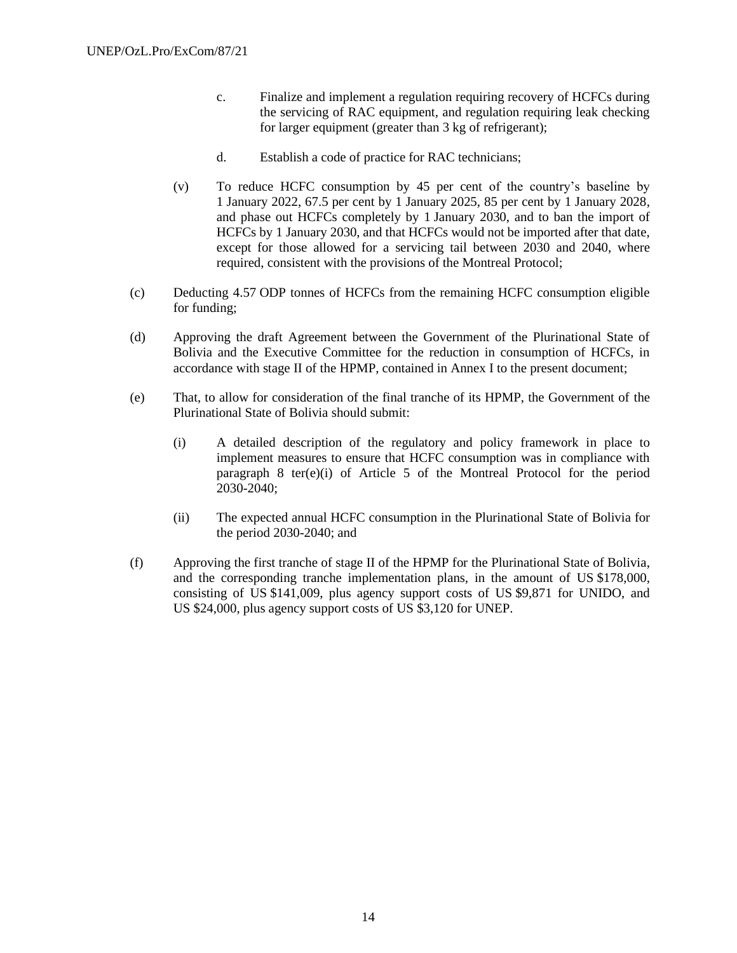- c. Finalize and implement a regulation requiring recovery of HCFCs during the servicing of RAC equipment, and regulation requiring leak checking for larger equipment (greater than 3 kg of refrigerant);
- d. Establish a code of practice for RAC technicians;
- (v) To reduce HCFC consumption by 45 per cent of the country's baseline by 1 January 2022, 67.5 per cent by 1 January 2025, 85 per cent by 1 January 2028, and phase out HCFCs completely by 1 January 2030, and to ban the import of HCFCs by 1 January 2030, and that HCFCs would not be imported after that date, except for those allowed for a servicing tail between 2030 and 2040, where required, consistent with the provisions of the Montreal Protocol;
- (c) Deducting 4.57 ODP tonnes of HCFCs from the remaining HCFC consumption eligible for funding;
- (d) Approving the draft Agreement between the Government of the Plurinational State of Bolivia and the Executive Committee for the reduction in consumption of HCFCs, in accordance with stage II of the HPMP, contained in Annex I to the present document;
- (e) That, to allow for consideration of the final tranche of its HPMP, the Government of the Plurinational State of Bolivia should submit:
	- (i) A detailed description of the regulatory and policy framework in place to implement measures to ensure that HCFC consumption was in compliance with paragraph 8 ter(e)(i) of Article 5 of the Montreal Protocol for the period 2030-2040;
	- (ii) The expected annual HCFC consumption in the Plurinational State of Bolivia for the period 2030-2040; and
- (f) Approving the first tranche of stage II of the HPMP for the Plurinational State of Bolivia, and the corresponding tranche implementation plans, in the amount of US \$178,000, consisting of US \$141,009, plus agency support costs of US \$9,871 for UNIDO, and US \$24,000, plus agency support costs of US \$3,120 for UNEP.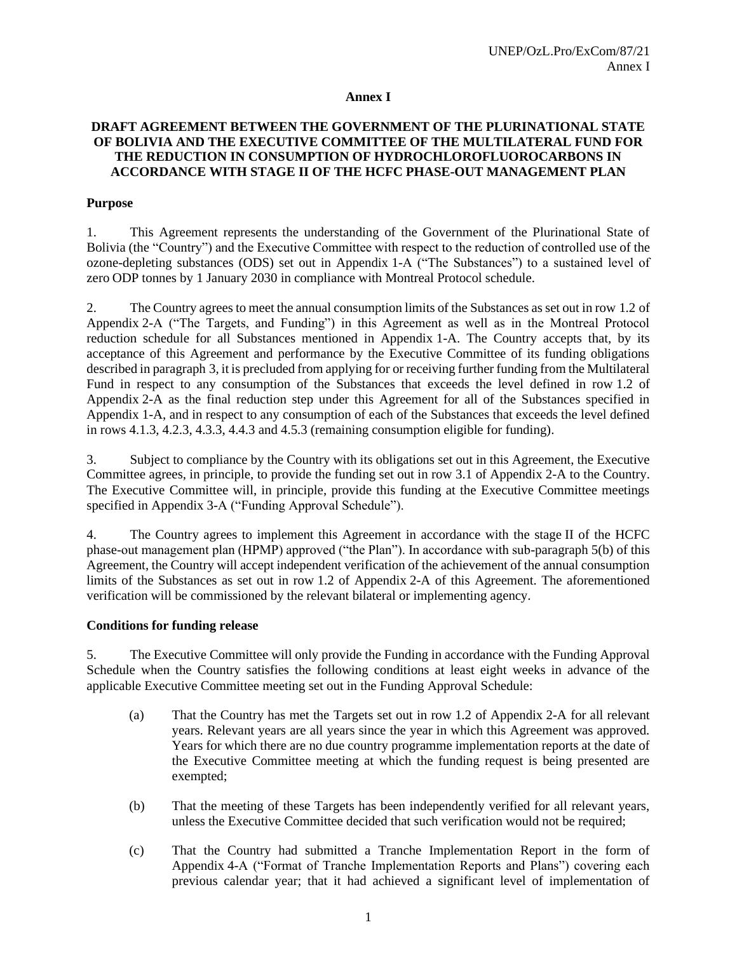#### **Annex I**

## **DRAFT AGREEMENT BETWEEN THE GOVERNMENT OF THE PLURINATIONAL STATE OF BOLIVIA AND THE EXECUTIVE COMMITTEE OF THE MULTILATERAL FUND FOR THE REDUCTION IN CONSUMPTION OF HYDROCHLOROFLUOROCARBONS IN ACCORDANCE WITH STAGE II OF THE HCFC PHASE-OUT MANAGEMENT PLAN**

#### **Purpose**

1. This Agreement represents the understanding of the Government of the Plurinational State of Bolivia (the "Country") and the Executive Committee with respect to the reduction of controlled use of the ozone-depleting substances (ODS) set out in Appendix 1-A ("The Substances") to a sustained level of zero ODP tonnes by 1 January 2030 in compliance with Montreal Protocol schedule.

2. The Country agrees to meet the annual consumption limits of the Substances as set out in row 1.2 of Appendix 2-A ("The Targets, and Funding") in this Agreement as well as in the Montreal Protocol reduction schedule for all Substances mentioned in Appendix 1-A. The Country accepts that, by its acceptance of this Agreement and performance by the Executive Committee of its funding obligations described in paragraph 3, it is precluded from applying for or receiving further funding from the Multilateral Fund in respect to any consumption of the Substances that exceeds the level defined in row 1.2 of Appendix 2-A as the final reduction step under this Agreement for all of the Substances specified in Appendix 1-A, and in respect to any consumption of each of the Substances that exceeds the level defined in rows 4.1.3, 4.2.3, 4.3.3, 4.4.3 and 4.5.3 (remaining consumption eligible for funding).

3. Subject to compliance by the Country with its obligations set out in this Agreement, the Executive Committee agrees, in principle, to provide the funding set out in row 3.1 of Appendix 2-A to the Country. The Executive Committee will, in principle, provide this funding at the Executive Committee meetings specified in Appendix 3-A ("Funding Approval Schedule").

4. The Country agrees to implement this Agreement in accordance with the stage II of the HCFC phase-out management plan (HPMP) approved ("the Plan"). In accordance with sub-paragraph 5(b) of this Agreement, the Country will accept independent verification of the achievement of the annual consumption limits of the Substances as set out in row 1.2 of Appendix 2-A of this Agreement. The aforementioned verification will be commissioned by the relevant bilateral or implementing agency.

#### **Conditions for funding release**

5. The Executive Committee will only provide the Funding in accordance with the Funding Approval Schedule when the Country satisfies the following conditions at least eight weeks in advance of the applicable Executive Committee meeting set out in the Funding Approval Schedule:

- (a) That the Country has met the Targets set out in row 1.2 of Appendix 2-A for all relevant years. Relevant years are all years since the year in which this Agreement was approved. Years for which there are no due country programme implementation reports at the date of the Executive Committee meeting at which the funding request is being presented are exempted;
- (b) That the meeting of these Targets has been independently verified for all relevant years, unless the Executive Committee decided that such verification would not be required;
- (c) That the Country had submitted a Tranche Implementation Report in the form of Appendix 4-A ("Format of Tranche Implementation Reports and Plans") covering each previous calendar year; that it had achieved a significant level of implementation of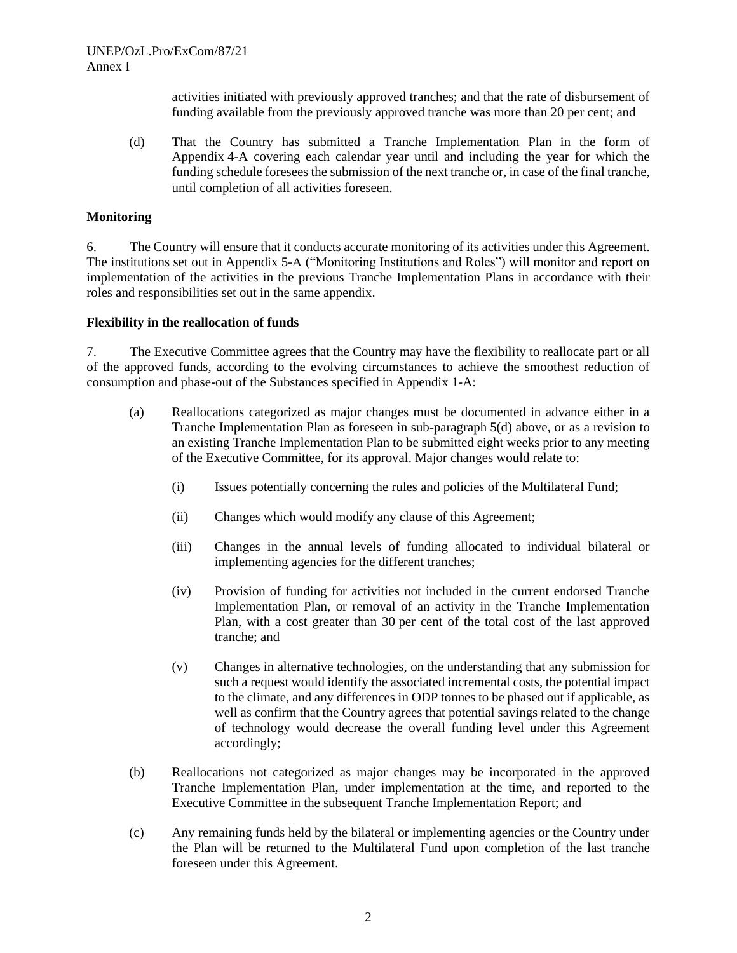activities initiated with previously approved tranches; and that the rate of disbursement of funding available from the previously approved tranche was more than 20 per cent; and

(d) That the Country has submitted a Tranche Implementation Plan in the form of Appendix 4-A covering each calendar year until and including the year for which the funding schedule foresees the submission of the next tranche or, in case of the final tranche, until completion of all activities foreseen.

#### **Monitoring**

6. The Country will ensure that it conducts accurate monitoring of its activities under this Agreement. The institutions set out in Appendix 5-A ("Monitoring Institutions and Roles") will monitor and report on implementation of the activities in the previous Tranche Implementation Plans in accordance with their roles and responsibilities set out in the same appendix.

#### **Flexibility in the reallocation of funds**

7. The Executive Committee agrees that the Country may have the flexibility to reallocate part or all of the approved funds, according to the evolving circumstances to achieve the smoothest reduction of consumption and phase-out of the Substances specified in Appendix 1-A:

- (a) Reallocations categorized as major changes must be documented in advance either in a Tranche Implementation Plan as foreseen in sub-paragraph 5(d) above, or as a revision to an existing Tranche Implementation Plan to be submitted eight weeks prior to any meeting of the Executive Committee, for its approval. Major changes would relate to:
	- (i) Issues potentially concerning the rules and policies of the Multilateral Fund;
	- (ii) Changes which would modify any clause of this Agreement;
	- (iii) Changes in the annual levels of funding allocated to individual bilateral or implementing agencies for the different tranches;
	- (iv) Provision of funding for activities not included in the current endorsed Tranche Implementation Plan, or removal of an activity in the Tranche Implementation Plan, with a cost greater than 30 per cent of the total cost of the last approved tranche; and
	- (v) Changes in alternative technologies, on the understanding that any submission for such a request would identify the associated incremental costs, the potential impact to the climate, and any differences in ODP tonnes to be phased out if applicable, as well as confirm that the Country agrees that potential savings related to the change of technology would decrease the overall funding level under this Agreement accordingly;
- (b) Reallocations not categorized as major changes may be incorporated in the approved Tranche Implementation Plan, under implementation at the time, and reported to the Executive Committee in the subsequent Tranche Implementation Report; and
- (c) Any remaining funds held by the bilateral or implementing agencies or the Country under the Plan will be returned to the Multilateral Fund upon completion of the last tranche foreseen under this Agreement.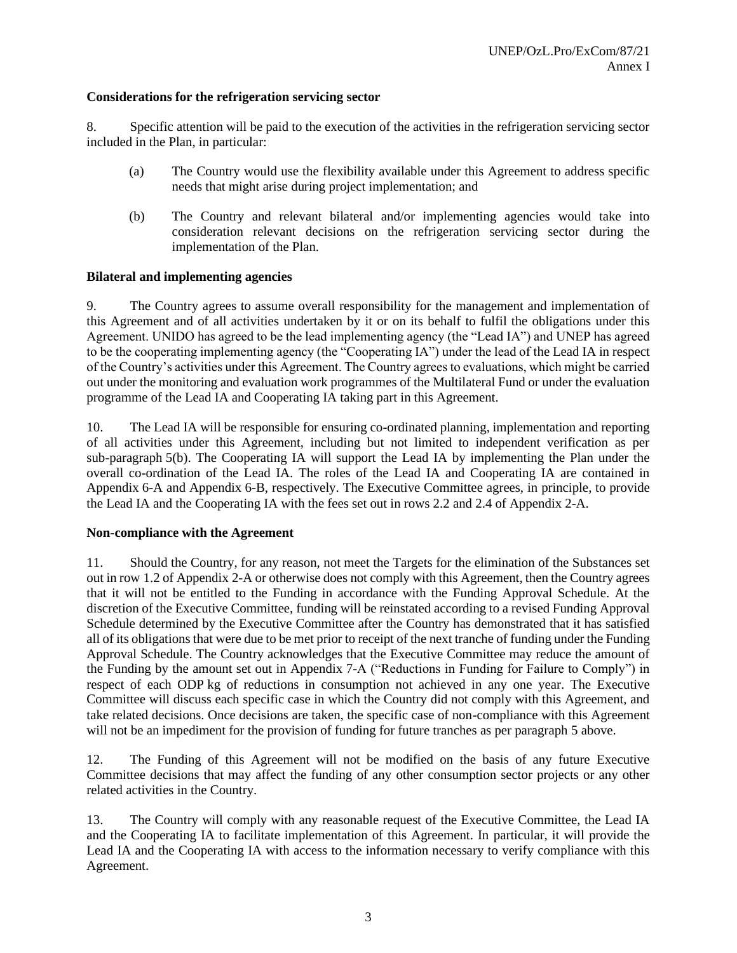## **Considerations for the refrigeration servicing sector**

8. Specific attention will be paid to the execution of the activities in the refrigeration servicing sector included in the Plan, in particular:

- (a) The Country would use the flexibility available under this Agreement to address specific needs that might arise during project implementation; and
- (b) The Country and relevant bilateral and/or implementing agencies would take into consideration relevant decisions on the refrigeration servicing sector during the implementation of the Plan.

## **Bilateral and implementing agencies**

9. The Country agrees to assume overall responsibility for the management and implementation of this Agreement and of all activities undertaken by it or on its behalf to fulfil the obligations under this Agreement. UNIDO has agreed to be the lead implementing agency (the "Lead IA") and UNEP has agreed to be the cooperating implementing agency (the "Cooperating IA") under the lead of the Lead IA in respect of the Country's activities under this Agreement. The Country agrees to evaluations, which might be carried out under the monitoring and evaluation work programmes of the Multilateral Fund or under the evaluation programme of the Lead IA and Cooperating IA taking part in this Agreement.

10. The Lead IA will be responsible for ensuring co-ordinated planning, implementation and reporting of all activities under this Agreement, including but not limited to independent verification as per sub-paragraph 5(b). The Cooperating IA will support the Lead IA by implementing the Plan under the overall co-ordination of the Lead IA. The roles of the Lead IA and Cooperating IA are contained in Appendix 6-A and Appendix 6-B, respectively. The Executive Committee agrees, in principle, to provide the Lead IA and the Cooperating IA with the fees set out in rows 2.2 and 2.4 of Appendix 2-A.

## **Non-compliance with the Agreement**

11. Should the Country, for any reason, not meet the Targets for the elimination of the Substances set out in row 1.2 of Appendix 2-A or otherwise does not comply with this Agreement, then the Country agrees that it will not be entitled to the Funding in accordance with the Funding Approval Schedule. At the discretion of the Executive Committee, funding will be reinstated according to a revised Funding Approval Schedule determined by the Executive Committee after the Country has demonstrated that it has satisfied all of its obligations that were due to be met prior to receipt of the next tranche of funding under the Funding Approval Schedule. The Country acknowledges that the Executive Committee may reduce the amount of the Funding by the amount set out in Appendix 7-A ("Reductions in Funding for Failure to Comply") in respect of each ODP kg of reductions in consumption not achieved in any one year. The Executive Committee will discuss each specific case in which the Country did not comply with this Agreement, and take related decisions. Once decisions are taken, the specific case of non-compliance with this Agreement will not be an impediment for the provision of funding for future tranches as per paragraph 5 above.

12. The Funding of this Agreement will not be modified on the basis of any future Executive Committee decisions that may affect the funding of any other consumption sector projects or any other related activities in the Country.

13. The Country will comply with any reasonable request of the Executive Committee, the Lead IA and the Cooperating IA to facilitate implementation of this Agreement. In particular, it will provide the Lead IA and the Cooperating IA with access to the information necessary to verify compliance with this Agreement.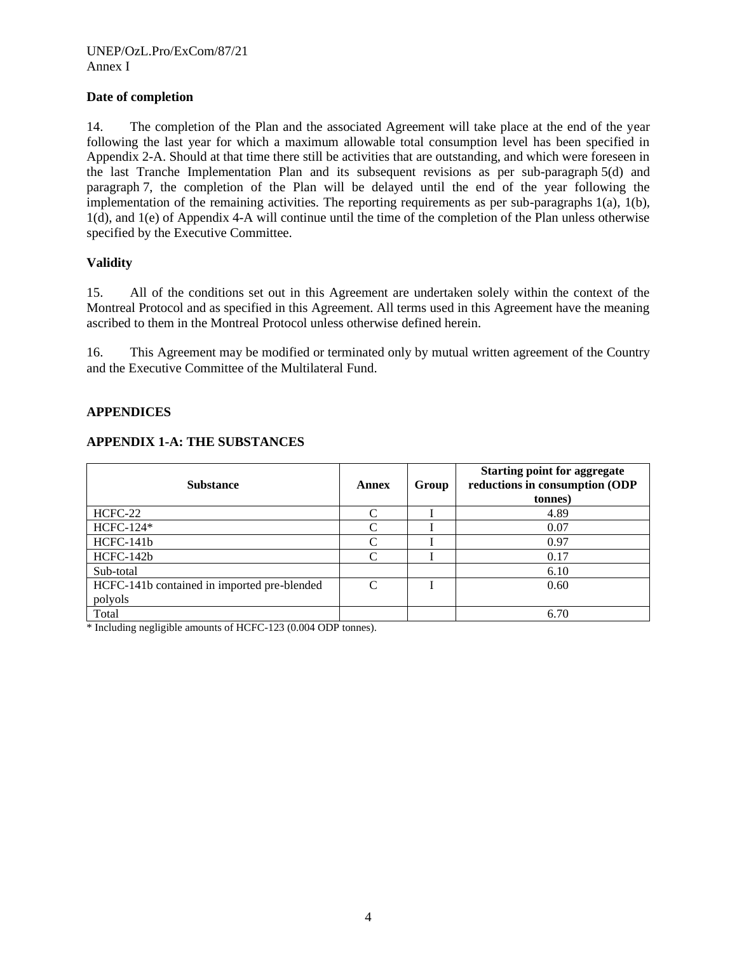## **Date of completion**

14. The completion of the Plan and the associated Agreement will take place at the end of the year following the last year for which a maximum allowable total consumption level has been specified in Appendix 2-A. Should at that time there still be activities that are outstanding, and which were foreseen in the last Tranche Implementation Plan and its subsequent revisions as per sub-paragraph 5(d) and paragraph 7, the completion of the Plan will be delayed until the end of the year following the implementation of the remaining activities. The reporting requirements as per sub-paragraphs 1(a), 1(b), 1(d), and 1(e) of Appendix 4-A will continue until the time of the completion of the Plan unless otherwise specified by the Executive Committee.

## **Validity**

15. All of the conditions set out in this Agreement are undertaken solely within the context of the Montreal Protocol and as specified in this Agreement. All terms used in this Agreement have the meaning ascribed to them in the Montreal Protocol unless otherwise defined herein.

16. This Agreement may be modified or terminated only by mutual written agreement of the Country and the Executive Committee of the Multilateral Fund.

## **APPENDICES**

## **APPENDIX 1-A: THE SUBSTANCES**

| <b>Substance</b>                            | Annex                       | Group | <b>Starting point for aggregate</b><br>reductions in consumption (ODP<br>tonnes) |
|---------------------------------------------|-----------------------------|-------|----------------------------------------------------------------------------------|
| HCFC-22                                     | $\subset$                   |       | 4.89                                                                             |
| HCFC-124*                                   | $\mathcal{C}_{\mathcal{C}}$ |       | 0.07                                                                             |
| HCFC-141b                                   | C                           |       | 0.97                                                                             |
| HCFC-142b                                   | $\mathcal{C}$               |       | 0.17                                                                             |
| Sub-total                                   |                             |       | 6.10                                                                             |
| HCFC-141b contained in imported pre-blended | C                           |       | 0.60                                                                             |
| polyols                                     |                             |       |                                                                                  |
| Total                                       |                             |       | 6.70                                                                             |

\* Including negligible amounts of HCFC-123 (0.004 ODP tonnes).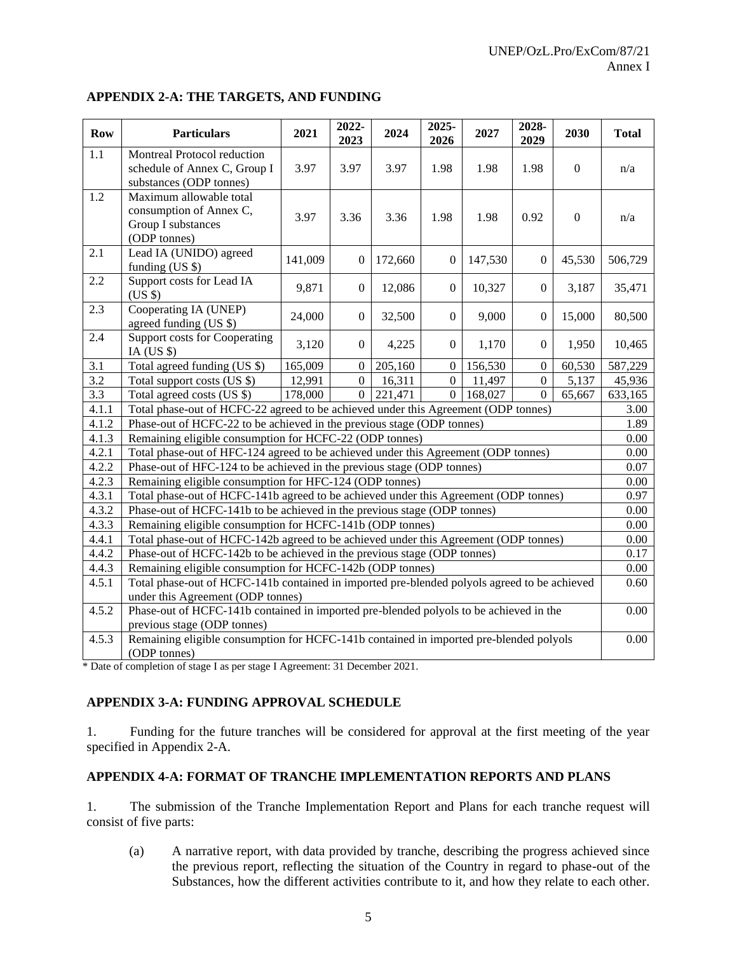#### **APPENDIX 2-A: THE TARGETS, AND FUNDING**

| <b>Row</b> | <b>Particulars</b>                                                                                                                | 2021    | 2022-<br>2023    | 2024    | 2025-<br>2026    | 2027    | 2028-<br>2029    | 2030             | <b>Total</b> |
|------------|-----------------------------------------------------------------------------------------------------------------------------------|---------|------------------|---------|------------------|---------|------------------|------------------|--------------|
| 1.1        | Montreal Protocol reduction<br>schedule of Annex C, Group I<br>substances (ODP tonnes)                                            | 3.97    | 3.97             | 3.97    | 1.98             | 1.98    | 1.98             | $\Omega$         | n/a          |
| 1.2        | Maximum allowable total<br>consumption of Annex C,<br>Group I substances<br>(ODP tonnes)                                          | 3.97    | 3.36             | 3.36    | 1.98             | 1.98    | 0.92             | $\boldsymbol{0}$ | n/a          |
| 2.1        | Lead IA (UNIDO) agreed<br>funding $(US \$                                                                                         | 141,009 | $\mathbf{0}$     | 172,660 | $\overline{0}$   | 147,530 | $\boldsymbol{0}$ | 45,530           | 506,729      |
| 2.2        | Support costs for Lead IA<br>(US \$)                                                                                              | 9,871   | $\boldsymbol{0}$ | 12,086  | $\boldsymbol{0}$ | 10,327  | $\boldsymbol{0}$ | 3,187            | 35,471       |
| 2.3        | Cooperating IA (UNEP)<br>agreed funding (US \$)                                                                                   | 24,000  | $\boldsymbol{0}$ | 32,500  | $\boldsymbol{0}$ | 9,000   | $\mathbf{0}$     | 15,000           | 80,500       |
| 2.4        | <b>Support costs for Cooperating</b><br>IA (US $$$ )                                                                              | 3,120   | $\boldsymbol{0}$ | 4,225   | $\boldsymbol{0}$ | 1,170   | $\Omega$         | 1,950            | 10,465       |
| 3.1        | Total agreed funding (US \$)                                                                                                      | 165,009 | $\overline{0}$   | 205,160 | $\mathbf{0}$     | 156,530 | $\overline{0}$   | 60,530           | 587,229      |
| 3.2        | Total support costs (US \$)                                                                                                       | 12,991  | $\mathbf{0}$     | 16,311  | $\Omega$         | 11,497  | $\mathbf{0}$     | 5,137            | 45,936       |
| 3.3        | Total agreed costs (US \$)                                                                                                        | 178,000 | $\boldsymbol{0}$ | 221,471 | $\boldsymbol{0}$ | 168,027 | $\mathbf{0}$     | 65,667           | 633,165      |
| 4.1.1      | Total phase-out of HCFC-22 agreed to be achieved under this Agreement (ODP tonnes)                                                |         |                  |         |                  |         |                  | 3.00             |              |
| 4.1.2      | Phase-out of HCFC-22 to be achieved in the previous stage (ODP tonnes)                                                            |         |                  |         |                  |         | 1.89             |                  |              |
| 4.1.3      | Remaining eligible consumption for HCFC-22 (ODP tonnes)                                                                           |         |                  |         |                  |         | 0.00             |                  |              |
| 4.2.1      | Total phase-out of HFC-124 agreed to be achieved under this Agreement (ODP tonnes)                                                |         |                  |         |                  |         | 0.00             |                  |              |
| 4.2.2      | Phase-out of HFC-124 to be achieved in the previous stage (ODP tonnes)                                                            |         |                  |         |                  |         | 0.07             |                  |              |
| 4.2.3      | Remaining eligible consumption for HFC-124 (ODP tonnes)                                                                           |         |                  |         |                  |         | 0.00             |                  |              |
| 4.3.1      | Total phase-out of HCFC-141b agreed to be achieved under this Agreement (ODP tonnes)                                              |         |                  |         |                  |         | 0.97             |                  |              |
| 4.3.2      | Phase-out of HCFC-141b to be achieved in the previous stage (ODP tonnes)                                                          |         |                  |         |                  |         | 0.00             |                  |              |
| 4.3.3      | Remaining eligible consumption for HCFC-141b (ODP tonnes)                                                                         |         |                  |         |                  |         | 0.00             |                  |              |
| 4.4.1      | Total phase-out of HCFC-142b agreed to be achieved under this Agreement (ODP tonnes)                                              |         |                  |         |                  |         | 0.00             |                  |              |
| 4.4.2      | Phase-out of HCFC-142b to be achieved in the previous stage (ODP tonnes)                                                          |         |                  |         |                  |         | 0.17             |                  |              |
| 4.4.3      | Remaining eligible consumption for HCFC-142b (ODP tonnes)                                                                         |         |                  |         |                  |         | 0.00             |                  |              |
| 4.5.1      | Total phase-out of HCFC-141b contained in imported pre-blended polyols agreed to be achieved<br>under this Agreement (ODP tonnes) |         |                  |         |                  |         | 0.60             |                  |              |
| 4.5.2      | Phase-out of HCFC-141b contained in imported pre-blended polyols to be achieved in the<br>previous stage (ODP tonnes)             |         |                  |         |                  |         | 0.00             |                  |              |
| 4.5.3      | Remaining eligible consumption for HCFC-141b contained in imported pre-blended polyols<br>(ODP tonnes)                            |         |                  |         |                  |         | 0.00             |                  |              |

\* Date of completion of stage I as per stage I Agreement: 31 December 2021.

# **APPENDIX 3-A: FUNDING APPROVAL SCHEDULE**

1. Funding for the future tranches will be considered for approval at the first meeting of the year specified in Appendix 2-A.

# **APPENDIX 4-A: FORMAT OF TRANCHE IMPLEMENTATION REPORTS AND PLANS**

1. The submission of the Tranche Implementation Report and Plans for each tranche request will consist of five parts:

(a) A narrative report, with data provided by tranche, describing the progress achieved since the previous report, reflecting the situation of the Country in regard to phase-out of the Substances, how the different activities contribute to it, and how they relate to each other.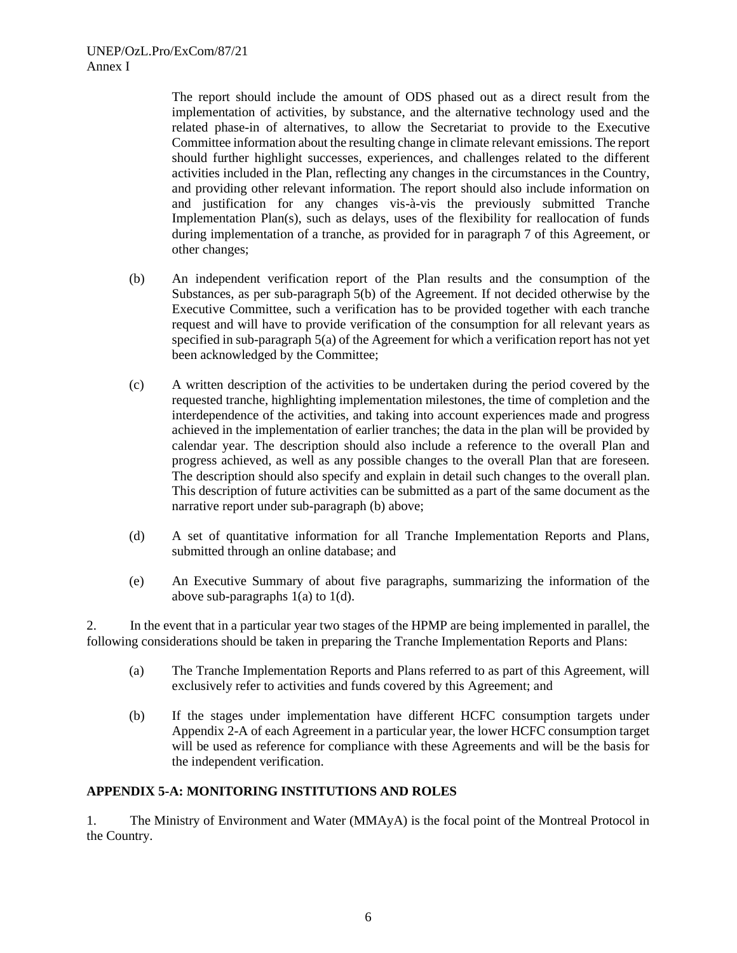The report should include the amount of ODS phased out as a direct result from the implementation of activities, by substance, and the alternative technology used and the related phase-in of alternatives, to allow the Secretariat to provide to the Executive Committee information about the resulting change in climate relevant emissions. The report should further highlight successes, experiences, and challenges related to the different activities included in the Plan, reflecting any changes in the circumstances in the Country, and providing other relevant information. The report should also include information on and justification for any changes vis-à-vis the previously submitted Tranche Implementation Plan(s), such as delays, uses of the flexibility for reallocation of funds during implementation of a tranche, as provided for in paragraph 7 of this Agreement, or other changes;

- (b) An independent verification report of the Plan results and the consumption of the Substances, as per sub-paragraph 5(b) of the Agreement. If not decided otherwise by the Executive Committee, such a verification has to be provided together with each tranche request and will have to provide verification of the consumption for all relevant years as specified in sub-paragraph 5(a) of the Agreement for which a verification report has not yet been acknowledged by the Committee;
- (c) A written description of the activities to be undertaken during the period covered by the requested tranche, highlighting implementation milestones, the time of completion and the interdependence of the activities, and taking into account experiences made and progress achieved in the implementation of earlier tranches; the data in the plan will be provided by calendar year. The description should also include a reference to the overall Plan and progress achieved, as well as any possible changes to the overall Plan that are foreseen. The description should also specify and explain in detail such changes to the overall plan. This description of future activities can be submitted as a part of the same document as the narrative report under sub-paragraph (b) above;
- (d) A set of quantitative information for all Tranche Implementation Reports and Plans, submitted through an online database; and
- (e) An Executive Summary of about five paragraphs, summarizing the information of the above sub-paragraphs 1(a) to 1(d).

2. In the event that in a particular year two stages of the HPMP are being implemented in parallel, the following considerations should be taken in preparing the Tranche Implementation Reports and Plans:

- (a) The Tranche Implementation Reports and Plans referred to as part of this Agreement, will exclusively refer to activities and funds covered by this Agreement; and
- (b) If the stages under implementation have different HCFC consumption targets under Appendix 2-A of each Agreement in a particular year, the lower HCFC consumption target will be used as reference for compliance with these Agreements and will be the basis for the independent verification.

## **APPENDIX 5-A: MONITORING INSTITUTIONS AND ROLES**

1. The Ministry of Environment and Water (MMAyA) is the focal point of the Montreal Protocol in the Country.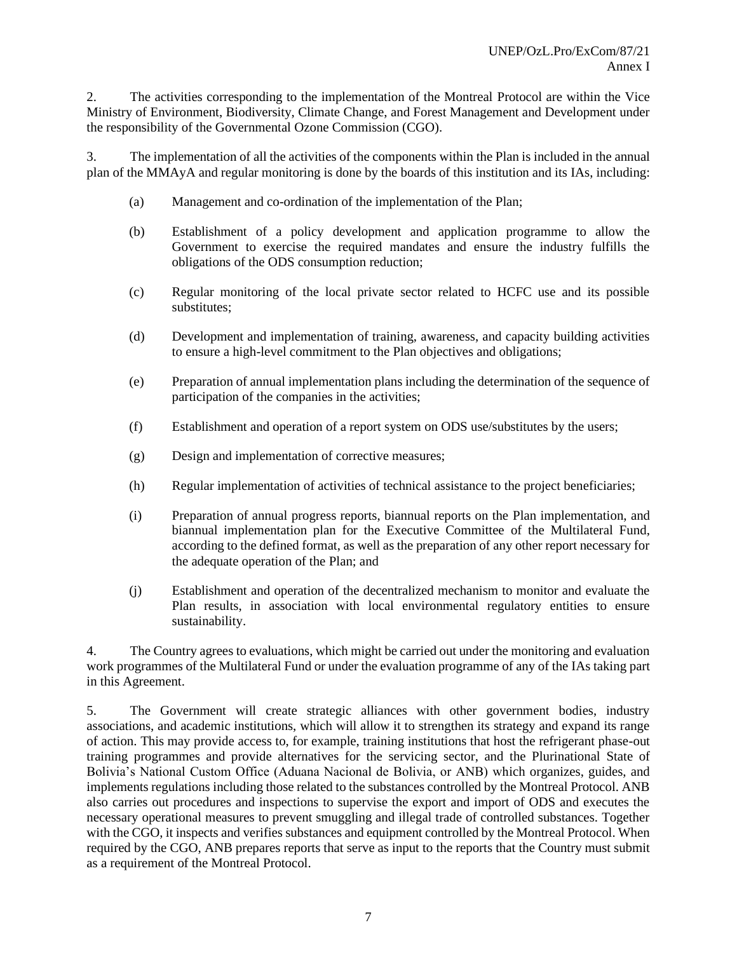2. The activities corresponding to the implementation of the Montreal Protocol are within the Vice Ministry of Environment, Biodiversity, Climate Change, and Forest Management and Development under the responsibility of the Governmental Ozone Commission (CGO).

3. The implementation of all the activities of the components within the Plan is included in the annual plan of the MMAyA and regular monitoring is done by the boards of this institution and its IAs, including:

- (a) Management and co-ordination of the implementation of the Plan;
- (b) Establishment of a policy development and application programme to allow the Government to exercise the required mandates and ensure the industry fulfills the obligations of the ODS consumption reduction;
- (c) Regular monitoring of the local private sector related to HCFC use and its possible substitutes;
- (d) Development and implementation of training, awareness, and capacity building activities to ensure a high-level commitment to the Plan objectives and obligations;
- (e) Preparation of annual implementation plans including the determination of the sequence of participation of the companies in the activities;
- (f) Establishment and operation of a report system on ODS use/substitutes by the users;
- (g) Design and implementation of corrective measures;
- (h) Regular implementation of activities of technical assistance to the project beneficiaries;
- (i) Preparation of annual progress reports, biannual reports on the Plan implementation, and biannual implementation plan for the Executive Committee of the Multilateral Fund, according to the defined format, as well as the preparation of any other report necessary for the adequate operation of the Plan; and
- (j) Establishment and operation of the decentralized mechanism to monitor and evaluate the Plan results, in association with local environmental regulatory entities to ensure sustainability.

4. The Country agrees to evaluations, which might be carried out under the monitoring and evaluation work programmes of the Multilateral Fund or under the evaluation programme of any of the IAs taking part in this Agreement.

5. The Government will create strategic alliances with other government bodies, industry associations, and academic institutions, which will allow it to strengthen its strategy and expand its range of action. This may provide access to, for example, training institutions that host the refrigerant phase-out training programmes and provide alternatives for the servicing sector, and the Plurinational State of Bolivia's National Custom Office (Aduana Nacional de Bolivia, or ANB) which organizes, guides, and implements regulations including those related to the substances controlled by the Montreal Protocol. ANB also carries out procedures and inspections to supervise the export and import of ODS and executes the necessary operational measures to prevent smuggling and illegal trade of controlled substances. Together with the CGO, it inspects and verifies substances and equipment controlled by the Montreal Protocol. When required by the CGO, ANB prepares reports that serve as input to the reports that the Country must submit as a requirement of the Montreal Protocol.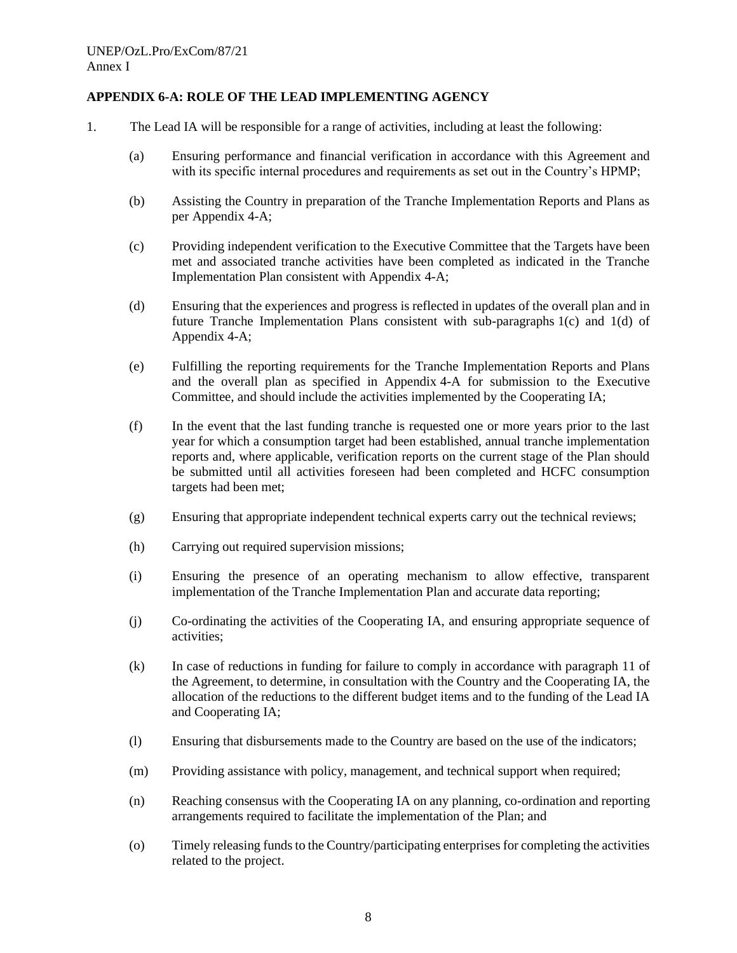# **APPENDIX 6-A: ROLE OF THE LEAD IMPLEMENTING AGENCY**

- 1. The Lead IA will be responsible for a range of activities, including at least the following:
	- (a) Ensuring performance and financial verification in accordance with this Agreement and with its specific internal procedures and requirements as set out in the Country's HPMP;
	- (b) Assisting the Country in preparation of the Tranche Implementation Reports and Plans as per Appendix 4-A;
	- (c) Providing independent verification to the Executive Committee that the Targets have been met and associated tranche activities have been completed as indicated in the Tranche Implementation Plan consistent with Appendix 4-A;
	- (d) Ensuring that the experiences and progress is reflected in updates of the overall plan and in future Tranche Implementation Plans consistent with sub-paragraphs 1(c) and 1(d) of Appendix 4-A;
	- (e) Fulfilling the reporting requirements for the Tranche Implementation Reports and Plans and the overall plan as specified in Appendix 4-A for submission to the Executive Committee, and should include the activities implemented by the Cooperating IA;
	- (f) In the event that the last funding tranche is requested one or more years prior to the last year for which a consumption target had been established, annual tranche implementation reports and, where applicable, verification reports on the current stage of the Plan should be submitted until all activities foreseen had been completed and HCFC consumption targets had been met;
	- (g) Ensuring that appropriate independent technical experts carry out the technical reviews;
	- (h) Carrying out required supervision missions;
	- (i) Ensuring the presence of an operating mechanism to allow effective, transparent implementation of the Tranche Implementation Plan and accurate data reporting;
	- (j) Co-ordinating the activities of the Cooperating IA, and ensuring appropriate sequence of activities;
	- (k) In case of reductions in funding for failure to comply in accordance with paragraph 11 of the Agreement, to determine, in consultation with the Country and the Cooperating IA, the allocation of the reductions to the different budget items and to the funding of the Lead IA and Cooperating IA;
	- (l) Ensuring that disbursements made to the Country are based on the use of the indicators;
	- (m) Providing assistance with policy, management, and technical support when required;
	- (n) Reaching consensus with the Cooperating IA on any planning, co-ordination and reporting arrangements required to facilitate the implementation of the Plan; and
	- (o) Timely releasing funds to the Country/participating enterprises for completing the activities related to the project.